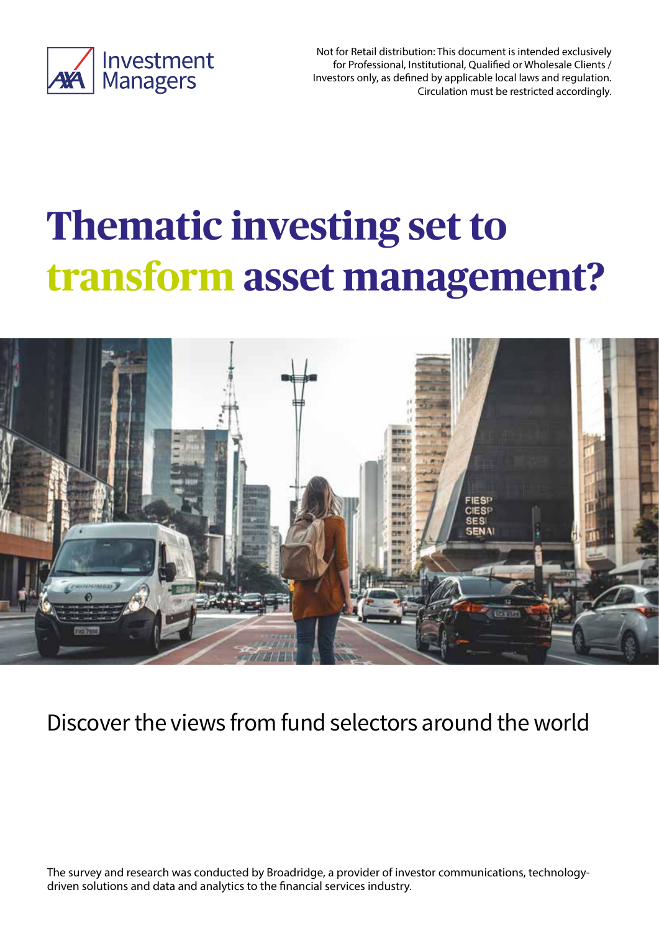

Not for Retail distribution: This document is intended exclusively for Professional, Institutional, Qualified or Wholesale Clients / Investors only, as defined by applicable local laws and regulation. Circulation must be restricted accordingly.

# **Thematic investing set to transform asset management?**



# Discover the views from fund selectors around the world

The survey and research was conducted by Broadridge, a provider of investor communications, technologydriven solutions and data and analytics to the financial services industry.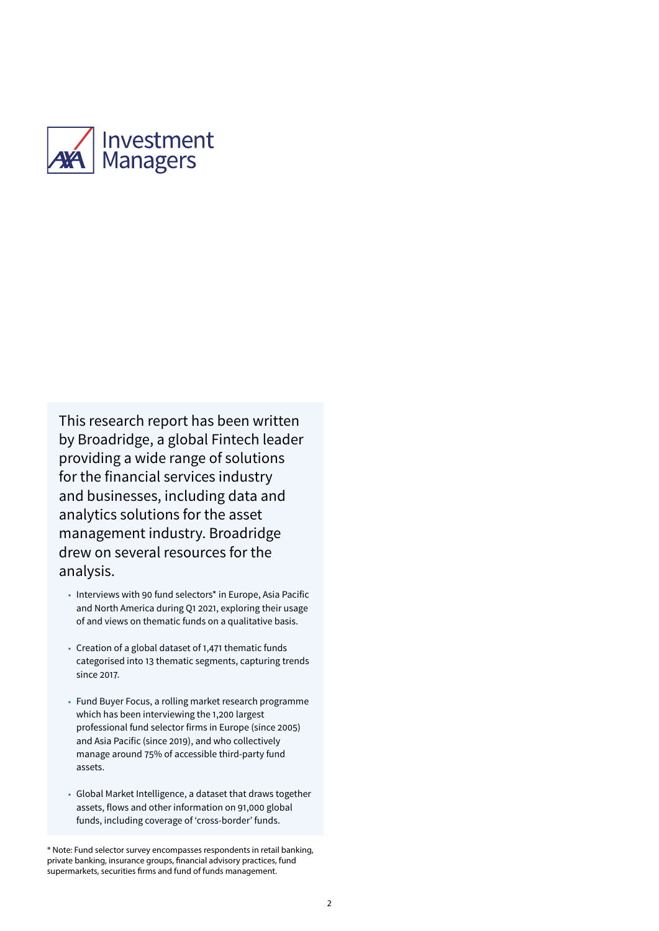

This research report has been written by Broadridge, a global Fintech leader providing a wide range of solutions for the financial services industry and businesses, including data and analytics solutions for the asset management industry. Broadridge drew on several resources for the analysis.

- Interviews with 90 fund selectors\* in Europe, Asia Pacific and North America during Q1 2021, exploring their usage of and views on thematic funds on a qualitative basis.
- Creation of a global dataset of 1,471 thematic funds categorised into 13 thematic segments, capturing trends since 2017.
- Fund Buyer Focus, a rolling market research programme which has been interviewing the 1,200 largest professional fund selector firms in Europe (since 2005) and Asia Pacific (since 2019), and who collectively manage around 75% of accessible third-party fund assets.
- Global Market Intelligence, a dataset that draws together assets, flows and other information on 91,000 global funds, including coverage of 'cross-border' funds.

<sup>\*</sup> Note: Fund selector survey encompasses respondents in retail banking, private banking, insurance groups, financial advisory practices, fund supermarkets, securities firms and fund of funds management.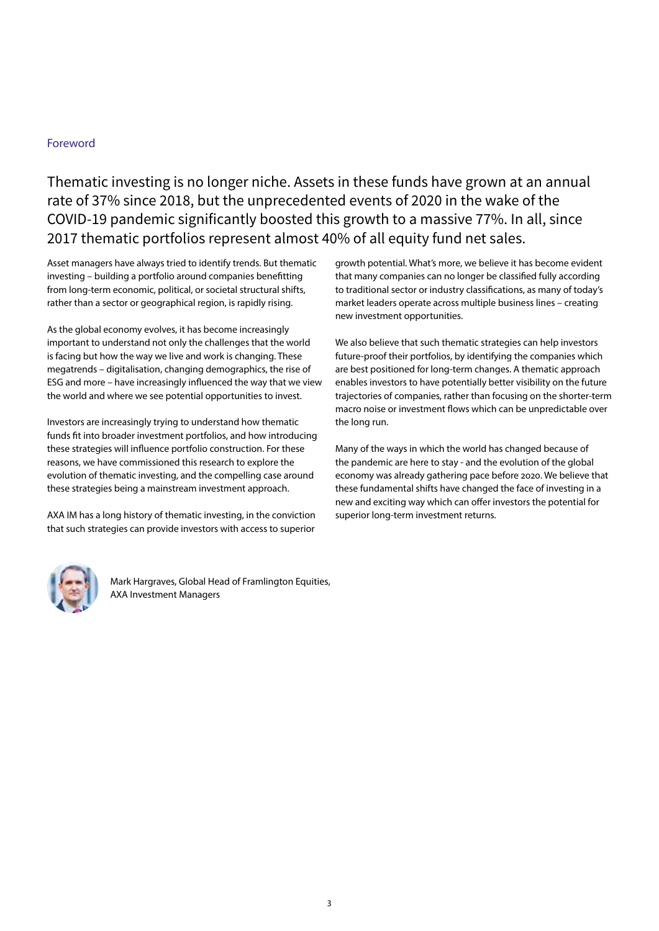# Foreword

Thematic investing is no longer niche. Assets in these funds have grown at an annual rate of 37% since 2018, but the unprecedented events of 2020 in the wake of the COVID-19 pandemic significantly boosted this growth to a massive 77%. In all, since 2017 thematic portfolios represent almost 40% of all equity fund net sales.

Asset managers have always tried to identify trends. But thematic investing – building a portfolio around companies benefitting from long-term economic, political, or societal structural shifts, rather than a sector or geographical region, is rapidly rising.

As the global economy evolves, it has become increasingly important to understand not only the challenges that the world is facing but how the way we live and work is changing. These megatrends – digitalisation, changing demographics, the rise of ESG and more – have increasingly influenced the way that we view the world and where we see potential opportunities to invest.

Investors are increasingly trying to understand how thematic funds fit into broader investment portfolios, and how introducing these strategies will influence portfolio construction. For these reasons, we have commissioned this research to explore the evolution of thematic investing, and the compelling case around these strategies being a mainstream investment approach.

AXA IM has a long history of thematic investing, in the conviction that such strategies can provide investors with access to superior

growth potential. What's more, we believe it has become evident that many companies can no longer be classified fully according to traditional sector or industry classifications, as many of today's market leaders operate across multiple business lines – creating new investment opportunities.

We also believe that such thematic strategies can help investors future-proof their portfolios, by identifying the companies which are best positioned for long-term changes. A thematic approach enables investors to have potentially better visibility on the future trajectories of companies, rather than focusing on the shorter-term macro noise or investment flows which can be unpredictable over the long run.

Many of the ways in which the world has changed because of the pandemic are here to stay - and the evolution of the global economy was already gathering pace before 2020. We believe that these fundamental shifts have changed the face of investing in a new and exciting way which can offer investors the potential for superior long-term investment returns.



Mark Hargraves, Global Head of Framlington Equities, AXA Investment Managers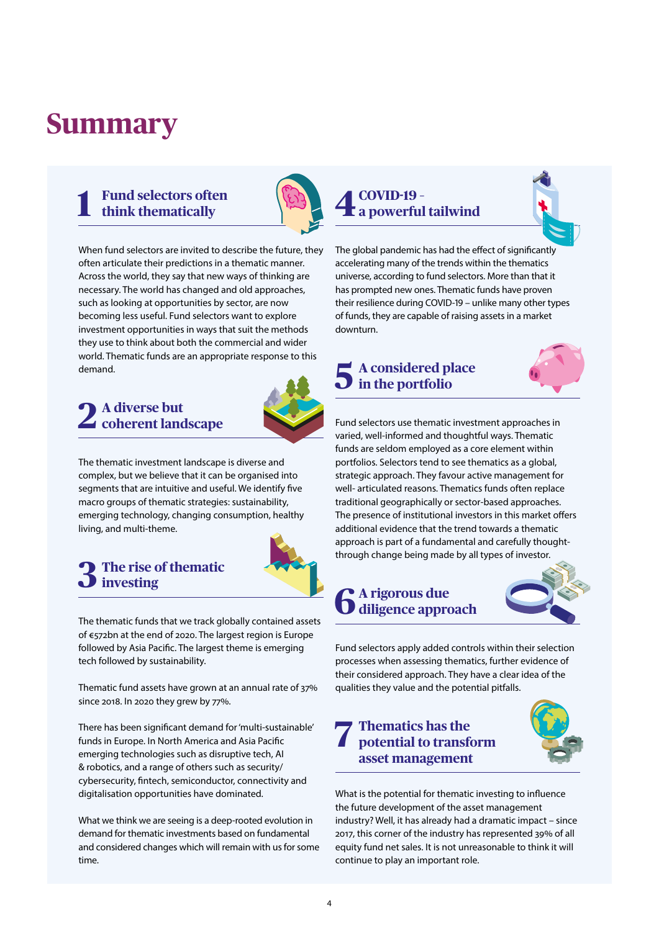# **Summary**

# **1 Fund selectors often think thematically**



When fund selectors are invited to describe the future, they often articulate their predictions in a thematic manner. Across the world, they say that new ways of thinking are necessary. The world has changed and old approaches, such as looking at opportunities by sector, are now becoming less useful. Fund selectors want to explore investment opportunities in ways that suit the methods they use to think about both the commercial and wider world. Thematic funds are an appropriate response to this demand.

# **2 A diverse but coherent landscape**



The thematic investment landscape is diverse and complex, but we believe that it can be organised into segments that are intuitive and useful. We identify five macro groups of thematic strategies: sustainability, emerging technology, changing consumption, healthy living, and multi-theme.

# **3 The rise of thematic investing**



The thematic funds that we track globally contained assets of €572bn at the end of 2020. The largest region is Europe followed by Asia Pacific. The largest theme is emerging tech followed by sustainability.

Thematic fund assets have grown at an annual rate of 37% since 2018. In 2020 they grew by 77%.

There has been significant demand for 'multi-sustainable' funds in Europe. In North America and Asia Pacific emerging technologies such as disruptive tech, AI & robotics, and a range of others such as security/ cybersecurity, fintech, semiconductor, connectivity and digitalisation opportunities have dominated.

What we think we are seeing is a deep-rooted evolution in demand for thematic investments based on fundamental and considered changes which will remain with us for some time.

# **4 COVID-19 – a powerful tailwind**



The global pandemic has had the effect of significantly accelerating many of the trends within the thematics universe, according to fund selectors. More than that it has prompted new ones. Thematic funds have proven their resilience during COVID-19 – unlike many other types of funds, they are capable of raising assets in a market downturn.

# **5 A considered place in the portfolio**



Fund selectors use thematic investment approaches in varied, well-informed and thoughtful ways. Thematic funds are seldom employed as a core element within portfolios. Selectors tend to see thematics as a global, strategic approach. They favour active management for well- articulated reasons. Thematics funds often replace traditional geographically or sector-based approaches. The presence of institutional investors in this market offers additional evidence that the trend towards a thematic approach is part of a fundamental and carefully thoughtthrough change being made by all types of investor.

# **6 A rigorous due diligence approach**



Fund selectors apply added controls within their selection processes when assessing thematics, further evidence of their considered approach. They have a clear idea of the qualities they value and the potential pitfalls.

# **7 Thematics has the potential to transform asset management**



What is the potential for thematic investing to influence the future development of the asset management industry? Well, it has already had a dramatic impact – since 2017, this corner of the industry has represented 39% of all equity fund net sales. It is not unreasonable to think it will continue to play an important role.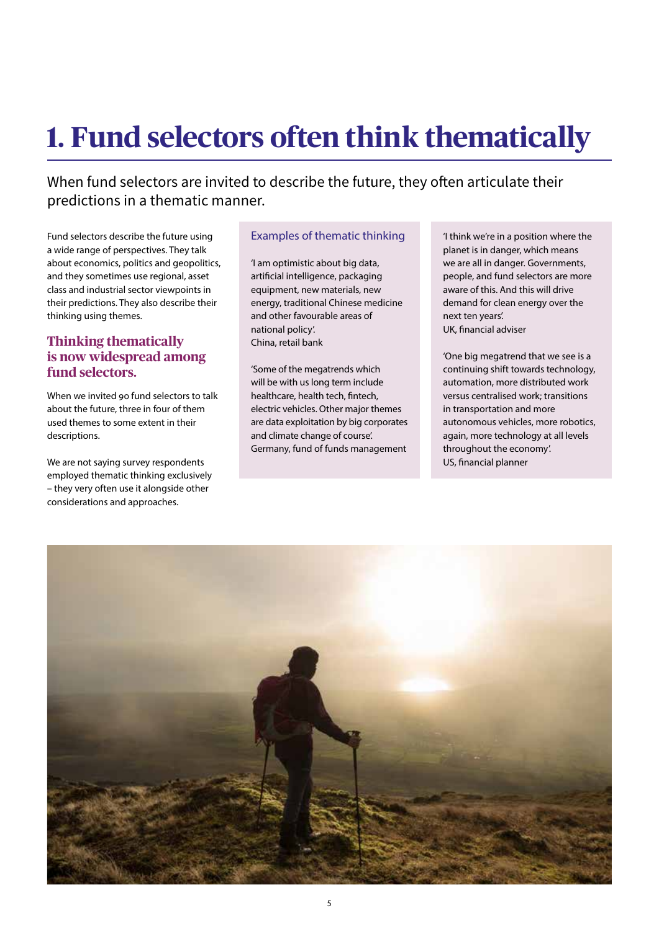# **1. Fund selectors often think thematically**

When fund selectors are invited to describe the future, they often articulate their predictions in a thematic manner.

Fund selectors describe the future using a wide range of perspectives. They talk about economics, politics and geopolitics, and they sometimes use regional, asset class and industrial sector viewpoints in their predictions. They also describe their thinking using themes.

# **Thinking thematically is now widespread among fund selectors.**

When we invited 90 fund selectors to talk about the future, three in four of them used themes to some extent in their descriptions.

We are not saying survey respondents employed thematic thinking exclusively – they very often use it alongside other considerations and approaches.

# Examples of thematic thinking

'I am optimistic about big data, artificial intelligence, packaging equipment, new materials, new energy, traditional Chinese medicine and other favourable areas of national policy'. China, retail bank

'Some of the megatrends which will be with us long term include healthcare, health tech, fintech, electric vehicles. Other major themes are data exploitation by big corporates and climate change of course'. Germany, fund of funds management

'I think we're in a position where the planet is in danger, which means we are all in danger. Governments, people, and fund selectors are more aware of this. And this will drive demand for clean energy over the next ten years'. UK, financial adviser

'One big megatrend that we see is a continuing shift towards technology, automation, more distributed work versus centralised work; transitions in transportation and more autonomous vehicles, more robotics, again, more technology at all levels throughout the economy'. US, financial planner

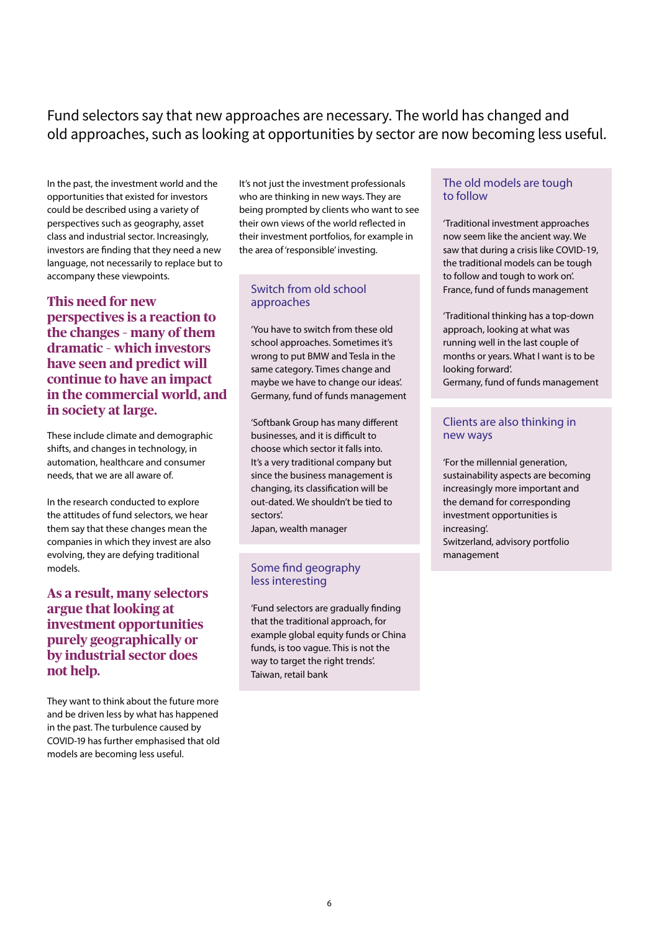# Fund selectors say that new approaches are necessary. The world has changed and old approaches, such as looking at opportunities by sector are now becoming less useful.

In the past, the investment world and the opportunities that existed for investors could be described using a variety of perspectives such as geography, asset class and industrial sector. Increasingly, investors are finding that they need a new language, not necessarily to replace but to accompany these viewpoints.

**This need for new perspectives is a reaction to the changes – many of them dramatic – which investors have seen and predict will continue to have an impact in the commercial world, and in society at large.** 

These include climate and demographic shifts, and changes in technology, in automation, healthcare and consumer needs, that we are all aware of.

In the research conducted to explore the attitudes of fund selectors, we hear them say that these changes mean the companies in which they invest are also evolving, they are defying traditional models.

# **As a result, many selectors argue that looking at investment opportunities purely geographically or by industrial sector does not help.**

They want to think about the future more and be driven less by what has happened in the past. The turbulence caused by COVID-19 has further emphasised that old models are becoming less useful.

It's not just the investment professionals who are thinking in new ways. They are being prompted by clients who want to see their own views of the world reflected in their investment portfolios, for example in the area of 'responsible' investing.

# Switch from old school approaches

'You have to switch from these old school approaches. Sometimes it's wrong to put BMW and Tesla in the same category. Times change and maybe we have to change our ideas'. Germany, fund of funds management

'Softbank Group has many different businesses, and it is difficult to choose which sector it falls into. It's a very traditional company but since the business management is changing, its classification will be out-dated. We shouldn't be tied to sectors'.

Japan, wealth manager

# Some find geography less interesting

'Fund selectors are gradually finding that the traditional approach, for example global equity funds or China funds, is too vague. This is not the way to target the right trends'. Taiwan, retail bank

# The old models are tough to follow

'Traditional investment approaches now seem like the ancient way. We saw that during a crisis like COVID-19, the traditional models can be tough to follow and tough to work on'. France, fund of funds management

'Traditional thinking has a top-down approach, looking at what was running well in the last couple of months or years. What I want is to be looking forward'. Germany, fund of funds management

# Clients are also thinking in new ways

'For the millennial generation, sustainability aspects are becoming increasingly more important and the demand for corresponding investment opportunities is increasing'. Switzerland, advisory portfolio management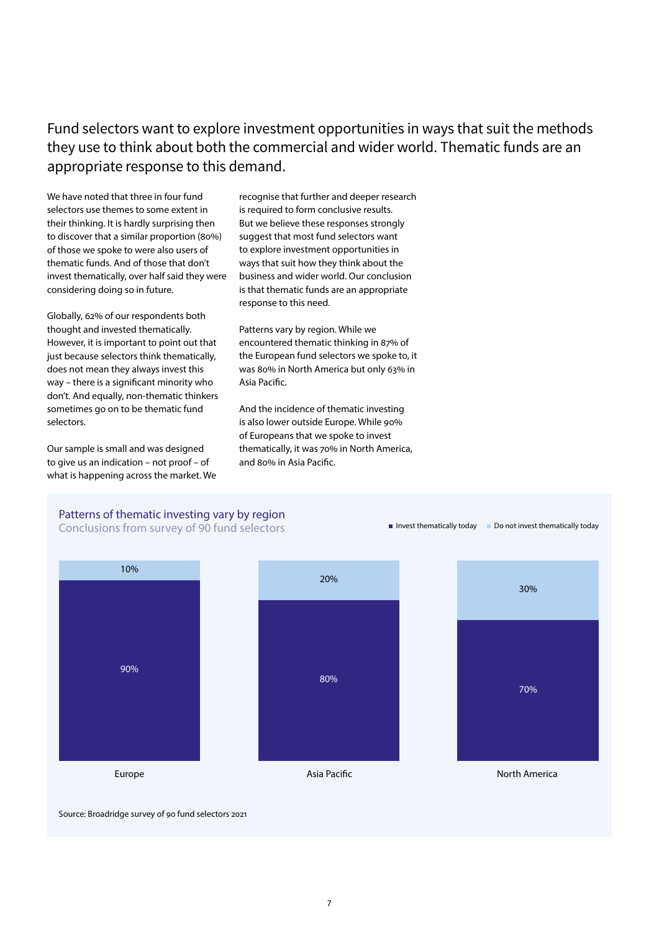Fund selectors want to explore investment opportunities in ways that suit the methods they use to think about both the commercial and wider world. Thematic funds are an appropriate response to this demand.

We have noted that three in four fund selectors use themes to some extent in their thinking. It is hardly surprising then to discover that a similar proportion (80%) of those we spoke to were also users of thematic funds. And of those that don't invest thematically, over half said they were considering doing so in future.

Globally, 62% of our respondents both thought and invested thematically. However, it is important to point out that just because selectors think thematically, does not mean they always invest this way – there is a significant minority who don't. And equally, non-thematic thinkers sometimes go on to be thematic fund selectors.

Our sample is small and was designed to give us an indication – not proof – of what is happening across the market. We

recognise that further and deeper research is required to form conclusive results. But we believe these responses strongly suggest that most fund selectors want to explore investment opportunities in ways that suit how they think about the business and wider world. Our conclusion is that thematic funds are an appropriate response to this need.

Patterns vary by region. While we encountered thematic thinking in 87% of the European fund selectors we spoke to, it was 80% in North America but only 63% in Asia Pacific.

And the incidence of thematic investing is also lower outside Europe. While 90% of Europeans that we spoke to invest thematically, it was 70% in North America, and 80% in Asia Pacific.

 $\blacksquare$  Invest thematically today  $\blacksquare$  Do not invest thematically today

# Patterns of thematic investing vary by region

Conclusions from survey of 90 fund selectors



Source: Broadridge survey of 90 fund selectors 2021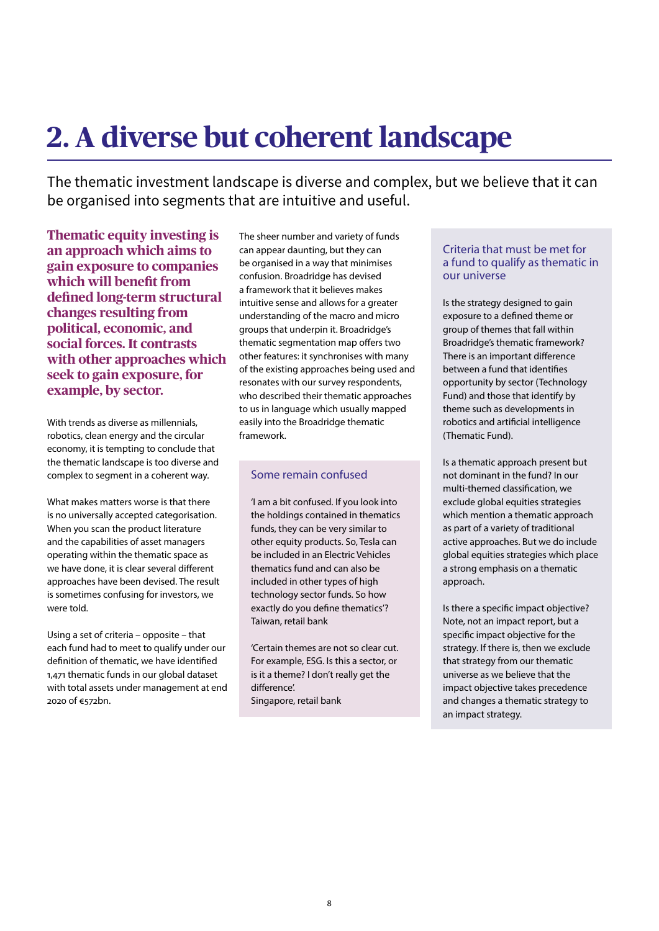# **2. A diverse but coherent landscape**

The thematic investment landscape is diverse and complex, but we believe that it can be organised into segments that are intuitive and useful.

**Thematic equity investing is an approach which aims to gain exposure to companies which will benefit from defined long-term structural changes resulting from political, economic, and social forces. It contrasts with other approaches which seek to gain exposure, for example, by sector.**

With trends as diverse as millennials, robotics, clean energy and the circular economy, it is tempting to conclude that the thematic landscape is too diverse and complex to segment in a coherent way.

What makes matters worse is that there is no universally accepted categorisation. When you scan the product literature and the capabilities of asset managers operating within the thematic space as we have done, it is clear several different approaches have been devised. The result is sometimes confusing for investors, we were told.

Using a set of criteria – opposite – that each fund had to meet to qualify under our definition of thematic, we have identified 1,471 thematic funds in our global dataset with total assets under management at end 2020 of €572bn.

The sheer number and variety of funds can appear daunting, but they can be organised in a way that minimises confusion. Broadridge has devised a framework that it believes makes intuitive sense and allows for a greater understanding of the macro and micro groups that underpin it. Broadridge's thematic segmentation map offers two other features: it synchronises with many of the existing approaches being used and resonates with our survey respondents, who described their thematic approaches to us in language which usually mapped easily into the Broadridge thematic framework.

# Some remain confused

'I am a bit confused. If you look into the holdings contained in thematics funds, they can be very similar to other equity products. So, Tesla can be included in an Electric Vehicles thematics fund and can also be included in other types of high technology sector funds. So how exactly do you define thematics'? Taiwan, retail bank

'Certain themes are not so clear cut. For example, ESG. Is this a sector, or is it a theme? I don't really get the difference'.

Singapore, retail bank

## Criteria that must be met for a fund to qualify as thematic in our universe

Is the strategy designed to gain exposure to a defined theme or group of themes that fall within Broadridge's thematic framework? There is an important difference between a fund that identifies opportunity by sector (Technology Fund) and those that identify by theme such as developments in robotics and artificial intelligence (Thematic Fund).

Is a thematic approach present but not dominant in the fund? In our multi-themed classification, we exclude global equities strategies which mention a thematic approach as part of a variety of traditional active approaches. But we do include global equities strategies which place a strong emphasis on a thematic approach.

Is there a specific impact objective? Note, not an impact report, but a specific impact objective for the strategy. If there is, then we exclude that strategy from our thematic universe as we believe that the impact objective takes precedence and changes a thematic strategy to an impact strategy.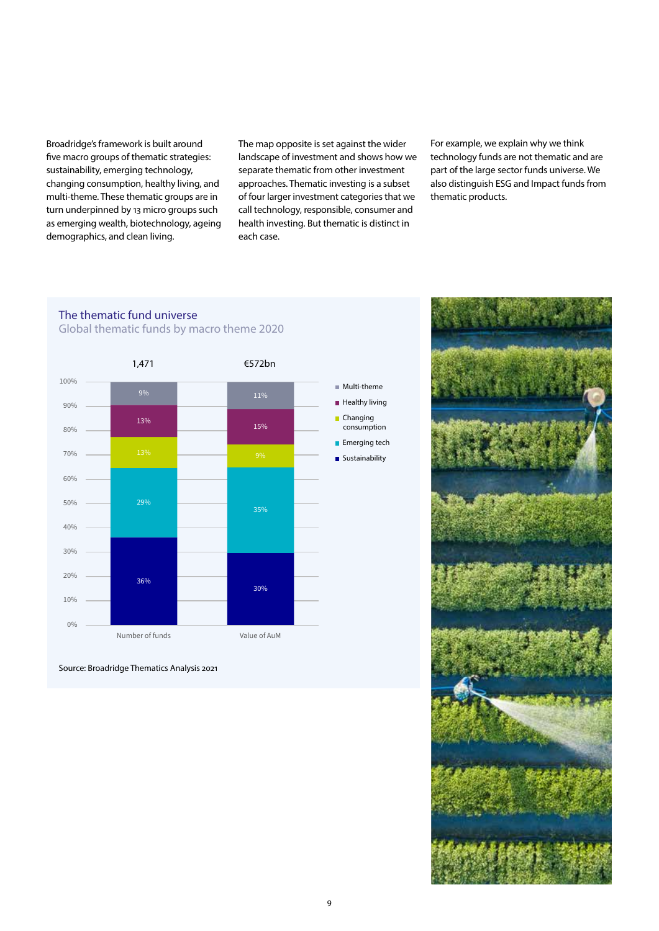Broadridge's framework is built around five macro groups of thematic strategies: sustainability, emerging technology, changing consumption, healthy living, and multi-theme. These thematic groups are in turn underpinned by 13 micro groups such as emerging wealth, biotechnology, ageing demographics, and clean living.

The map opposite is set against the wider landscape of investment and shows how we separate thematic from other investment approaches. Thematic investing is a subset of four larger investment categories that we call technology, responsible, consumer and health investing. But thematic is distinct in each case.

For example, we explain why we think technology funds are not thematic and are part of the large sector funds universe. We also distinguish ESG and Impact funds from thematic products.

# The thematic fund universe Global thematic funds by macro theme 2020



Source: Broadridge Thematics Analysis 2021

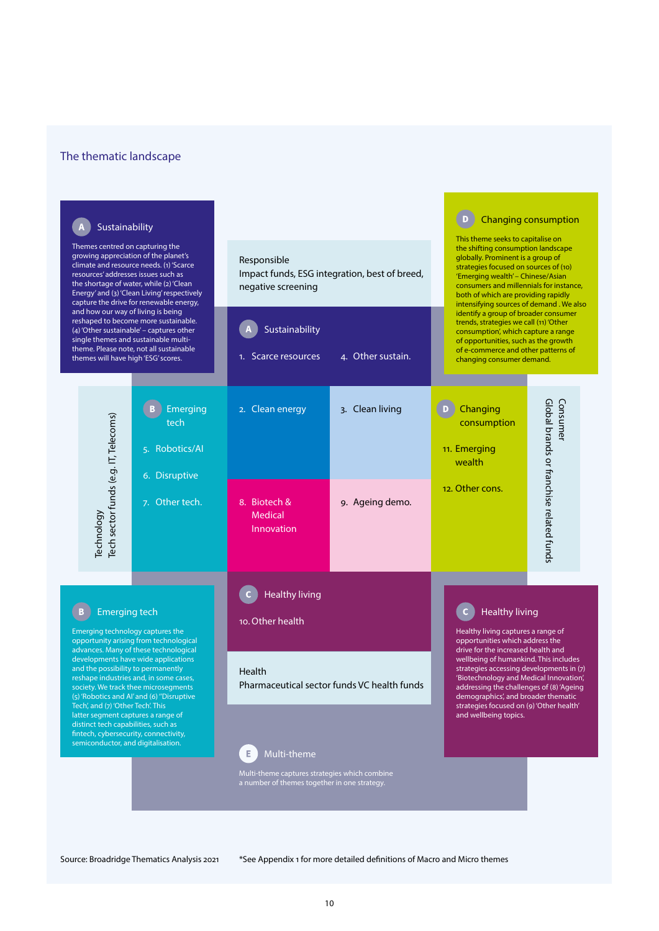## The thematic landscape

#### D Changing consumption  $\overline{A}$  Sustainability This theme seeks to capitalise on Themes centred on capturing the the shifting consumption landscape growing appreciation of the planet's globally. Prominent is a group of Responsible climate and resource needs. (1) 'Scarce strategies focused on sources of (10) Impact funds, ESG integration, best of breed, resources' addresses issues such as 'Emerging wealth' – Chinese/Asian the shortage of water, while (2) 'Clean consumers and millennials for instance, negative screening Energy' and (3) 'Clean Living' respectively both of which are providing rapidly intensifying sources of demand . We also capture the drive for renewable energy, and how our way of living is being identify a group of broader consumer reshaped to become more sustainable. trends, strategies we call (11) 'Other Sustainability (4) 'Other sustainable' – captures other consumption', which capture a range single themes and sustainable multiof opportunities, such as the growth theme. Please note, not all sustainable of e-commerce and other patterns of 1. Scarce resources 4. Other sustain. themes will have high 'ESG' scores. changing consumer demand. Consumer<br>Global brands or franchise related funds Global brands or franchise related funds Consumer D Changing B Emerging 2. Clean energy 3. Clean living Source: Broadridge Thematics Analysis 2021<br>
Source: Broadridge Thematics Analysis 2021<br>
Source: Broadridge Thematics Analysis 2021<br>
Source: Broadridge Thematics Analysis 2021<br>
Source: Broadridge Thematics Analysis 2021<br>
So tech consumption 5. Robotics/AI 11. Emerging wealth 6. Disruptive 12. Other cons. 7. Other tech. 8. Biotech & 9. Ageing demo. Medical Innovation Healthy living B Emerging tech Healthy living 10.Other health Emerging technology captures the Healthy living captures a range of opportunity arising from technological opportunities which address the drive for the increased health and advances. Many of these technological developments have wide applications wellbeing of humankind. This includes and the possibility to permanently strategies accessing developments in (7) Health reshape industries and, in some cases, 'Biotechnology and Medical Innovation', Pharmaceutical sector funds VC health funds society. We track thee microsegments addressing the challenges of (8) 'Ageing demographics', and broader thematic (5) 'Robotics and AI' and (6) ''Disruptive Tech', and (7) 'Other Tech'. This strategies focused on (9) 'Other health' latter segment captures a range of and wellbeing topics. distinct tech capabilities, such as fintech, cybersecurity, connectivity, semiconductor, and digitalisation. Multi-theme Multi-theme captures strategies which combine a number of themes together in one strategy.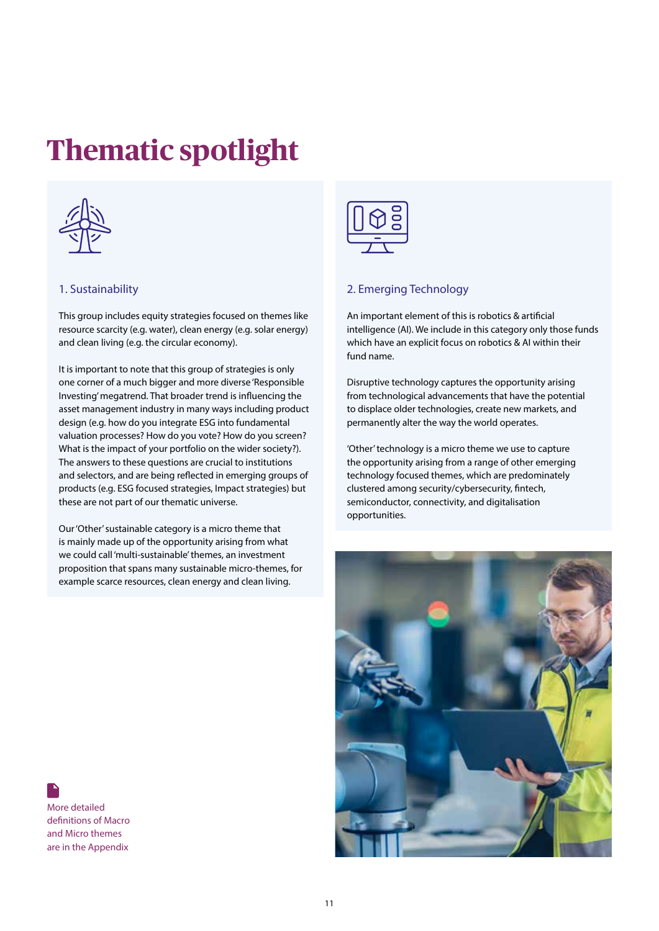# **Thematic spotlight**



## 1. Sustainability

This group includes equity strategies focused on themes like resource scarcity (e.g. water), clean energy (e.g. solar energy) and clean living (e.g. the circular economy).

It is important to note that this group of strategies is only one corner of a much bigger and more diverse 'Responsible Investing' megatrend. That broader trend is influencing the asset management industry in many ways including product design (e.g. how do you integrate ESG into fundamental valuation processes? How do you vote? How do you screen? What is the impact of your portfolio on the wider society?). The answers to these questions are crucial to institutions and selectors, and are being reflected in emerging groups of products (e.g. ESG focused strategies, Impact strategies) but these are not part of our thematic universe.

Our 'Other' sustainable category is a micro theme that is mainly made up of the opportunity arising from what we could call 'multi-sustainable' themes, an investment proposition that spans many sustainable micro-themes, for example scarce resources, clean energy and clean living.



# 2. Emerging Technology

An important element of this is robotics & artificial intelligence (AI). We include in this category only those funds which have an explicit focus on robotics & AI within their fund name.

Disruptive technology captures the opportunity arising from technological advancements that have the potential to displace older technologies, create new markets, and permanently alter the way the world operates.

'Other' technology is a micro theme we use to capture the opportunity arising from a range of other emerging technology focused themes, which are predominately clustered among security/cybersecurity, fintech, semiconductor, connectivity, and digitalisation opportunities.



More detailed definitions of Macro and Micro themes are in the Appendix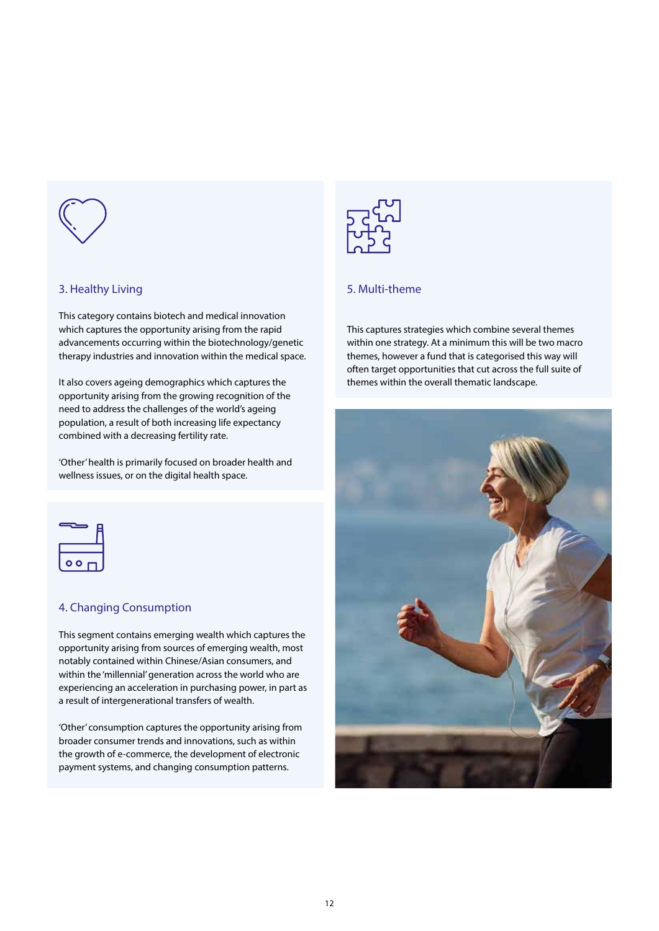

# 3. Healthy Living

This category contains biotech and medical innovation which captures the opportunity arising from the rapid advancements occurring within the biotechnology/genetic therapy industries and innovation within the medical space.

It also covers ageing demographics which captures the opportunity arising from the growing recognition of the need to address the challenges of the world's ageing population, a result of both increasing life expectancy combined with a decreasing fertility rate.

'Other' health is primarily focused on broader health and wellness issues, or on the digital health space.



# 4. Changing Consumption

This segment contains emerging wealth which captures the opportunity arising from sources of emerging wealth, most notably contained within Chinese/Asian consumers, and within the 'millennial' generation across the world who are experiencing an acceleration in purchasing power, in part as a result of intergenerational transfers of wealth.

'Other' consumption captures the opportunity arising from broader consumer trends and innovations, such as within the growth of e-commerce, the development of electronic payment systems, and changing consumption patterns.



# 5. Multi-theme

This captures strategies which combine several themes within one strategy. At a minimum this will be two macro themes, however a fund that is categorised this way will often target opportunities that cut across the full suite of themes within the overall thematic landscape.

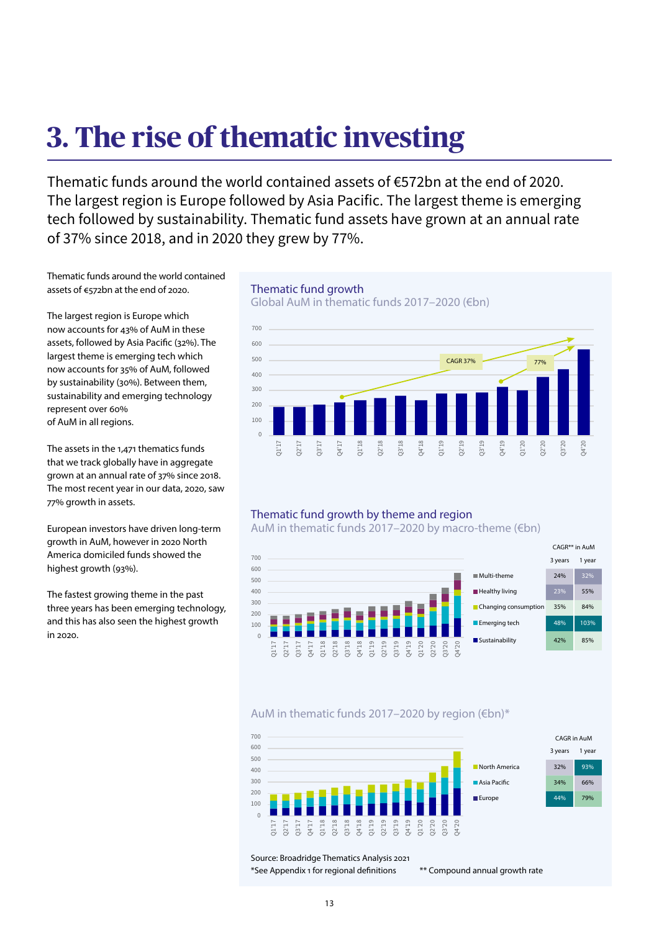# **3. The rise of thematic investing**

Thematic funds around the world contained assets of €572bn at the end of 2020. The largest region is Europe followed by Asia Pacific. The largest theme is emerging tech followed by sustainability. Thematic fund assets have grown at an annual rate of 37% since 2018, and in 2020 they grew by 77%.

Thematic funds around the world contained assets of €572bn at the end of 2020.

The largest region is Europe which now accounts for 43% of AuM in these assets, followed by Asia Pacific (32%). The largest theme is emerging tech which now accounts for 35% of AuM, followed by sustainability (30%). Between them, sustainability and emerging technology represent over 60% of AuM in all regions.

The assets in the 1,471 thematics funds that we track globally have in aggregate grown at an annual rate of 37% since 2018. The most recent year in our data, 2020, saw 77% growth in assets.

European investors have driven long-term growth in AuM, however in 2020 North America domiciled funds showed the highest growth (93%).

The fastest growing theme in the past three years has been emerging technology, and this has also seen the highest growth in 2020.

# Thematic fund growth

Global AuM in thematic funds 2017–2020 (€bn)



## Thematic fund growth by theme and region

AuM in thematic funds 2017–2020 by macro-theme (€bn)



# AuM in thematic funds 2017–2020 by region (€bn)\*



Source: Broadridge Thematics Analysis 2021 \*See Appendix 1 for regional definitions \*\* Compound annual growth rate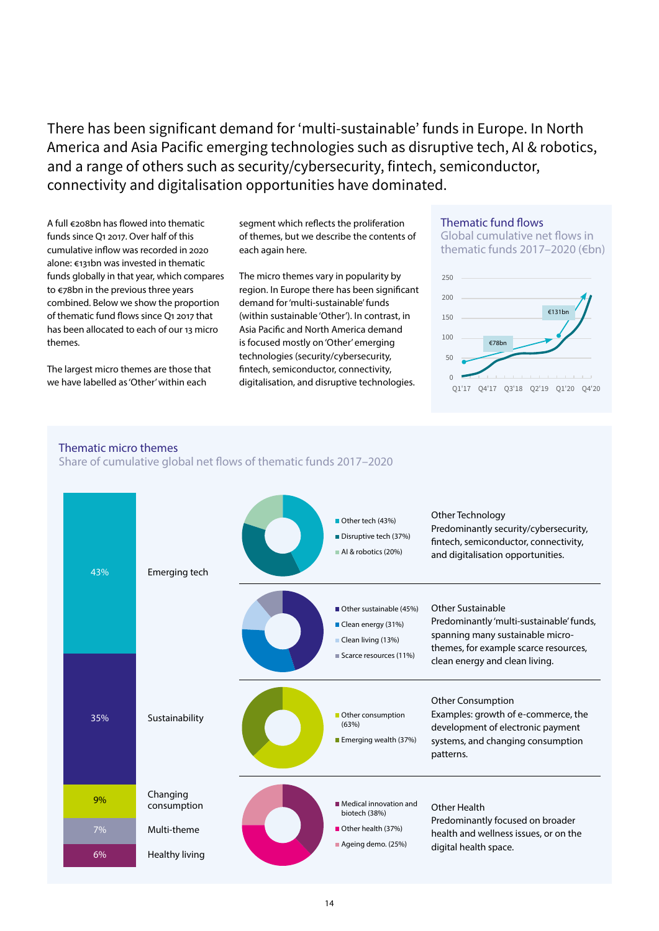There has been significant demand for 'multi-sustainable' funds in Europe. In North America and Asia Pacific emerging technologies such as disruptive tech, AI & robotics, and a range of others such as security/cybersecurity, fintech, semiconductor, connectivity and digitalisation opportunities have dominated.

A full €208bn has flowed into thematic funds since Q1 2017. Over half of this cumulative inflow was recorded in 2020 alone: €131bn was invested in thematic funds globally in that year, which compares to €78bn in the previous three years combined. Below we show the proportion of thematic fund flows since Q1 2017 that has been allocated to each of our 13 micro themes.

The largest micro themes are those that we have labelled as 'Other' within each

segment which reflects the proliferation of themes, but we describe the contents of each again here.

The micro themes vary in popularity by region. In Europe there has been significant demand for 'multi-sustainable' funds (within sustainable 'Other'). In contrast, in Asia Pacific and North America demand is focused mostly on 'Other' emerging technologies (security/cybersecurity, fintech, semiconductor, connectivity, digitalisation, and disruptive technologies.

# Thematic fund flows

Global cumulative net flows in thematic funds 2017–2020 (€bn)



## Thematic micro themes

Share of cumulative global net flows of thematic funds 2017–2020

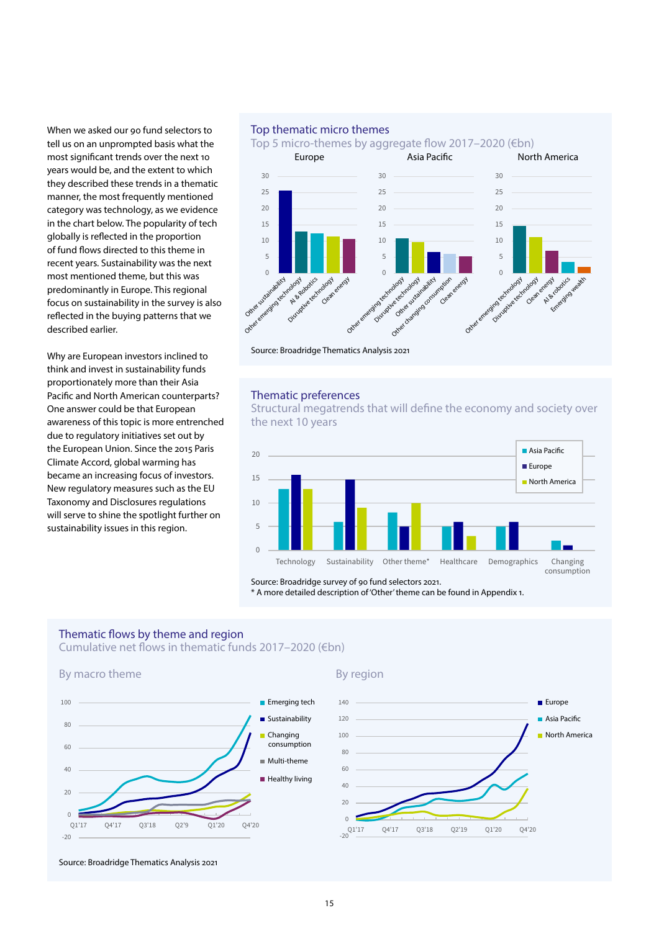When we asked our 90 fund selectors to tell us on an unprompted basis what the most significant trends over the next 10 years would be, and the extent to which they described these trends in a thematic manner, the most frequently mentioned category was technology, as we evidence in the chart below. The popularity of tech globally is reflected in the proportion of fund flows directed to this theme in recent years. Sustainability was the next most mentioned theme, but this was predominantly in Europe. This regional focus on sustainability in the survey is also reflected in the buying patterns that we described earlier.

Why are European investors inclined to think and invest in sustainability funds proportionately more than their Asia Pacific and North American counterparts? One answer could be that European awareness of this topic is more entrenched due to regulatory initiatives set out by the European Union. Since the 2015 Paris Climate Accord, global warming has became an increasing focus of investors. New regulatory measures such as the EU Taxonomy and Disclosures regulations will serve to shine the spotlight further on sustainability issues in this region.

## Top thematic micro themes

Top 5 micro-themes by aggregate flow 2017–2020 (€bn)



Source: Broadridge Thematics Analysis 2021

### Thematic preferences

Structural megatrends that will define the economy and society over the next 10 years



Source: Broadridge survey of 90 fund selectors 2021.

\* A more detailed description of 'Other' theme can be found in Appendix 1.

# Thematic flows by theme and region

Cumulative net flows in thematic funds 2017–2020 (€bn)







Source: Broadridge Thematics Analysis 2021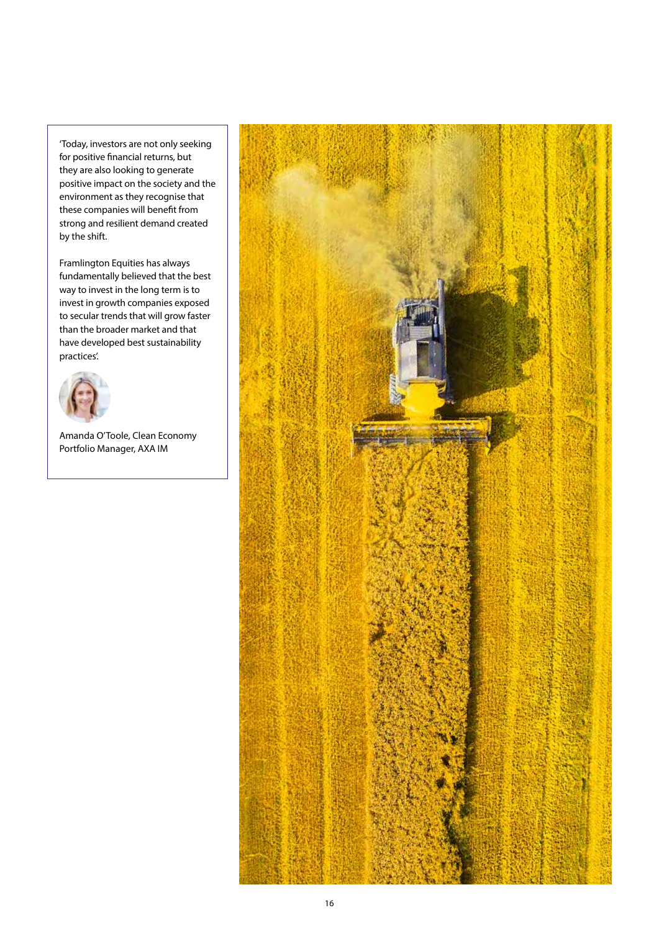'Today, investors are not only seeking for positive financial returns, but they are also looking to generate positive impact on the society and the environment as they recognise that these companies will benefit from strong and resilient demand created by the shift.

Framlington Equities has always fundamentally believed that the best way to invest in the long term is to invest in growth companies exposed to secular trends that will grow faster than the broader market and that have developed best sustainability practices'.



Amanda O'Toole, Clean Economy Portfolio Manager, AXA IM

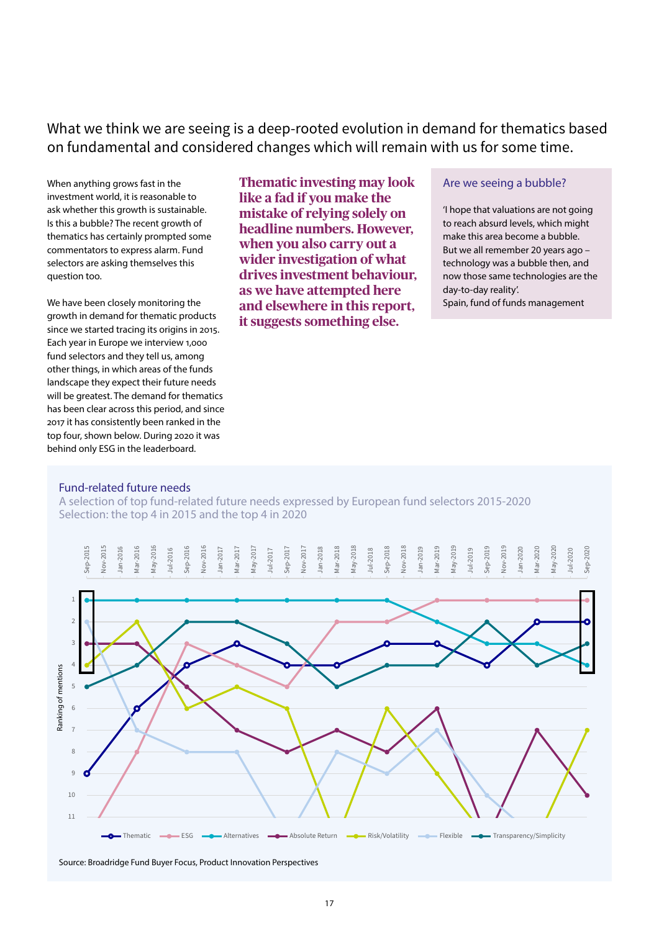What we think we are seeing is a deep-rooted evolution in demand for thematics based on fundamental and considered changes which will remain with us for some time.

When anything grows fast in the investment world, it is reasonable to ask whether this growth is sustainable. Is this a bubble? The recent growth of thematics has certainly prompted some commentators to express alarm. Fund selectors are asking themselves this question too.

We have been closely monitoring the growth in demand for thematic products since we started tracing its origins in 2015. Each year in Europe we interview 1,000 fund selectors and they tell us, among other things, in which areas of the funds landscape they expect their future needs will be greatest. The demand for thematics has been clear across this period, and since 2017 it has consistently been ranked in the top four, shown below. During 2020 it was behind only ESG in the leaderboard.

**Thematic investing may look like a fad if you make the mistake of relying solely on headline numbers. However, when you also carry out a wider investigation of what drives investment behaviour, as we have attempted here and elsewhere in this report, it suggests something else.** 

## Are we seeing a bubble?

'I hope that valuations are not going to reach absurd levels, which might make this area become a bubble. But we all remember 20 years ago – technology was a bubble then, and now those same technologies are the day-to-day reality'.

Spain, fund of funds management

### Fund-related future needs

A selection of top fund-related future needs expressed by European fund selectors 2015-2020 Selection: the top 4 in 2015 and the top 4 in 2020



Source: Broadridge Fund Buyer Focus, Product Innovation Perspectives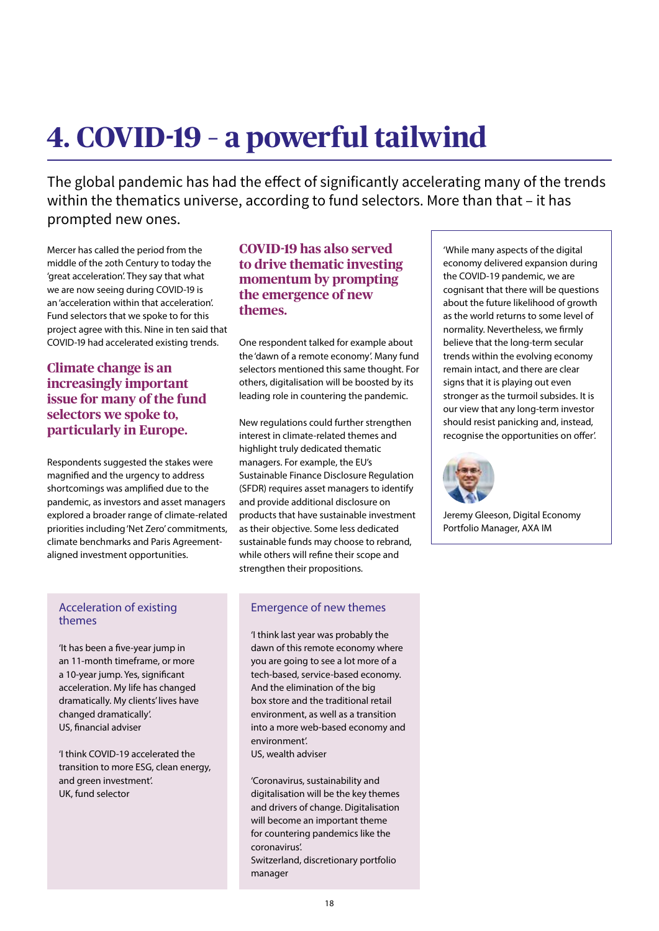# **4. COVID-19 – a powerful tailwind**

The global pandemic has had the effect of significantly accelerating many of the trends within the thematics universe, according to fund selectors. More than that – it has prompted new ones.

Mercer has called the period from the middle of the 20th Century to today the 'great acceleration'. They say that what we are now seeing during COVID-19 is an 'acceleration within that acceleration'. Fund selectors that we spoke to for this project agree with this. Nine in ten said that COVID-19 had accelerated existing trends.

# **Climate change is an increasingly important issue for many of the fund selectors we spoke to, particularly in Europe.**

Respondents suggested the stakes were magnified and the urgency to address shortcomings was amplified due to the pandemic, as investors and asset managers explored a broader range of climate-related priorities including 'Net Zero' commitments, climate benchmarks and Paris Agreementaligned investment opportunities.

# **COVID-19 has also served to drive thematic investing momentum by prompting the emergence of new themes.**

One respondent talked for example about the 'dawn of a remote economy'. Many fund selectors mentioned this same thought. For others, digitalisation will be boosted by its leading role in countering the pandemic.

New regulations could further strengthen interest in climate-related themes and highlight truly dedicated thematic managers. For example, the EU's Sustainable Finance Disclosure Regulation (SFDR) requires asset managers to identify and provide additional disclosure on products that have sustainable investment as their objective. Some less dedicated sustainable funds may choose to rebrand, while others will refine their scope and strengthen their propositions.

# Acceleration of existing themes

'It has been a five-year jump in an 11-month timeframe, or more a 10-year jump. Yes, significant acceleration. My life has changed dramatically. My clients' lives have changed dramatically'. US, financial adviser

'I think COVID-19 accelerated the transition to more ESG, clean energy, and green investment'. UK, fund selector

# Emergence of new themes

'I think last year was probably the dawn of this remote economy where you are going to see a lot more of a tech-based, service-based economy. And the elimination of the big box store and the traditional retail environment, as well as a transition into a more web-based economy and environment'.

US, wealth adviser

'Coronavirus, sustainability and digitalisation will be the key themes and drivers of change. Digitalisation will become an important theme for countering pandemics like the coronavirus'. Switzerland, discretionary portfolio

manager

'While many aspects of the digital economy delivered expansion during the COVID-19 pandemic, we are cognisant that there will be questions about the future likelihood of growth as the world returns to some level of normality. Nevertheless, we firmly believe that the long-term secular trends within the evolving economy remain intact, and there are clear signs that it is playing out even stronger as the turmoil subsides. It is our view that any long-term investor should resist panicking and, instead, recognise the opportunities on offer'.



Jeremy Gleeson, Digital Economy Portfolio Manager, AXA IM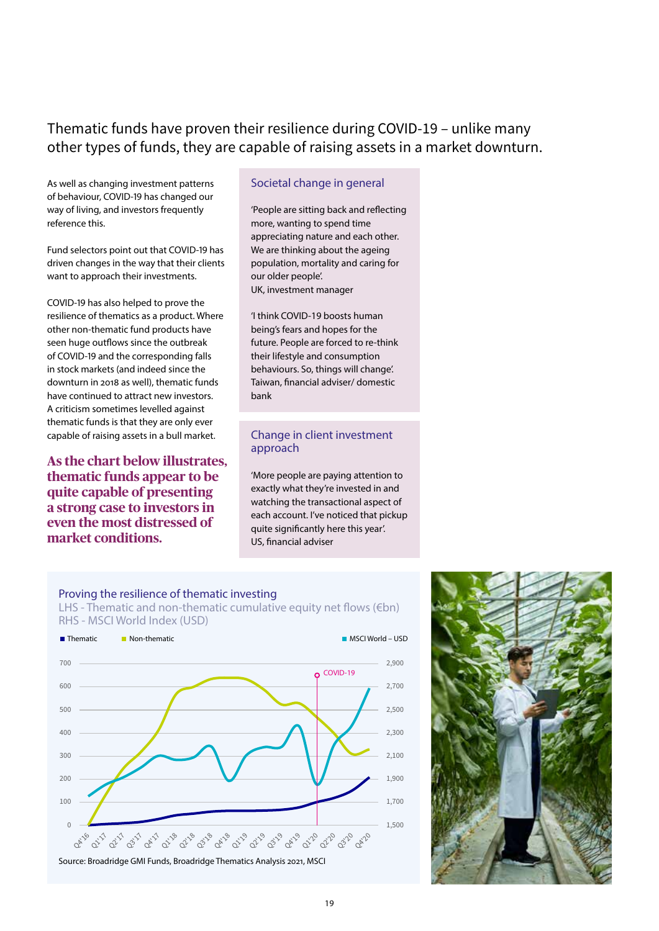# Thematic funds have proven their resilience during COVID-19 – unlike many other types of funds, they are capable of raising assets in a market downturn.

As well as changing investment patterns of behaviour, COVID-19 has changed our way of living, and investors frequently reference this.

Fund selectors point out that COVID-19 has driven changes in the way that their clients want to approach their investments.

COVID-19 has also helped to prove the resilience of thematics as a product. Where other non-thematic fund products have seen huge outflows since the outbreak of COVID-19 and the corresponding falls in stock markets (and indeed since the downturn in 2018 as well), thematic funds have continued to attract new investors. A criticism sometimes levelled against thematic funds is that they are only ever capable of raising assets in a bull market.

**As the chart below illustrates, thematic funds appear to be quite capable of presenting a strong case to investors in even the most distressed of market conditions.** 

## Societal change in general

'People are sitting back and reflecting more, wanting to spend time appreciating nature and each other. We are thinking about the ageing population, mortality and caring for our older people'. UK, investment manager

'I think COVID-19 boosts human being's fears and hopes for the future. People are forced to re-think their lifestyle and consumption behaviours. So, things will change'. Taiwan, financial adviser/ domestic bank

## Change in client investment approach

'More people are paying attention to exactly what they're invested in and watching the transactional aspect of each account. I've noticed that pickup quite significantly here this year'. US, financial adviser

# Proving the resilience of thematic investing LHS - Thematic and non-thematic cumulative equity net flows ( $\notin$ bn)



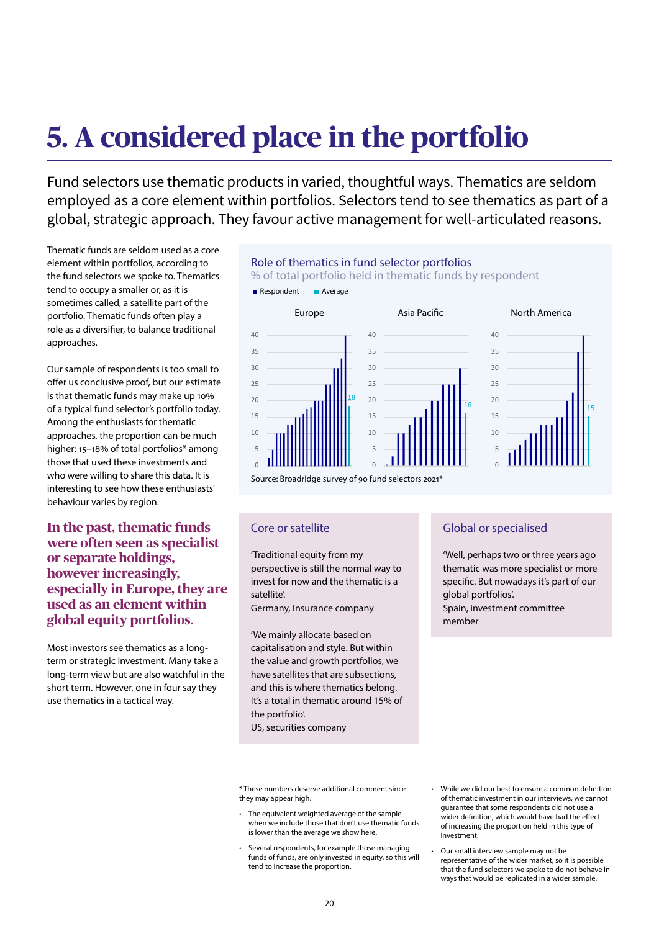# **5. A considered place in the portfolio**

Fund selectors use thematic products in varied, thoughtful ways. Thematics are seldom employed as a core element within portfolios. Selectors tend to see thematics as part of a global, strategic approach. They favour active management for well-articulated reasons.

Role of thematics in fund selector portfolios

Thematic funds are seldom used as a core element within portfolios, according to the fund selectors we spoke to. Thematics tend to occupy a smaller or, as it is sometimes called, a satellite part of the portfolio. Thematic funds often play a role as a diversifier, to balance traditional approaches.

Our sample of respondents is too small to offer us conclusive proof, but our estimate is that thematic funds may make up 10% of a typical fund selector's portfolio today. Among the enthusiasts for thematic approaches, the proportion can be much higher: 15-18% of total portfolios\* among those that used these investments and who were willing to share this data. It is interesting to see how these enthusiasts' behaviour varies by region.

**In the past, thematic funds were often seen as specialist or separate holdings, however increasingly, especially in Europe, they are used as an element within global equity portfolios.**

Most investors see thematics as a longterm or strategic investment. Many take a long-term view but are also watchful in the short term. However, one in four say they use thematics in a tactical way.



### Core or satellite

'Traditional equity from my perspective is still the normal way to invest for now and the thematic is a satellite'.

Germany, Insurance company

'We mainly allocate based on capitalisation and style. But within the value and growth portfolios, we have satellites that are subsections, and this is where thematics belong. It's a total in thematic around 15% of the portfolio'.

US, securities company

## Global or specialised

'Well, perhaps two or three years ago thematic was more specialist or more specific. But nowadays it's part of our global portfolios'. Spain, investment committee member

- The equivalent weighted average of the sample when we include those that don't use thematic funds is lower than the average we show here.
- Several respondents, for example those managing funds of funds, are only invested in equity, so this will tend to increase the proportion.
- While we did our best to ensure a common definition of thematic investment in our interviews, we cannot guarantee that some respondents did not use a wider definition, which would have had the effect of increasing the proportion held in this type of investment.
- Our small interview sample may not be representative of the wider market, so it is possible that the fund selectors we spoke to do not behave in ways that would be replicated in a wider sample.

<sup>\*</sup> These numbers deserve additional comment since they may appear high.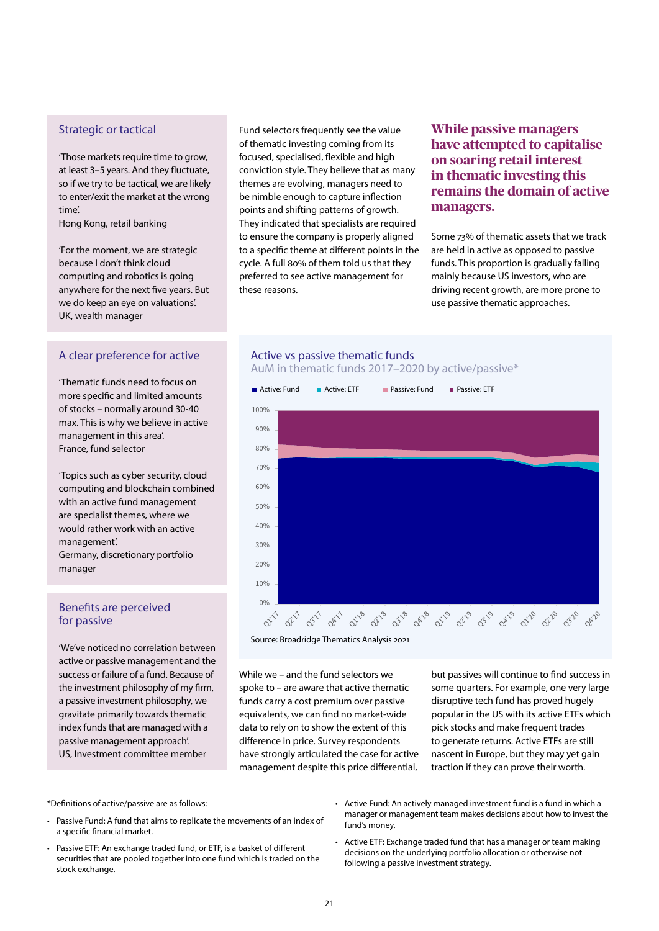## Strategic or tactical

'Those markets require time to grow, at least 3–5 years. And they fluctuate, so if we try to be tactical, we are likely to enter/exit the market at the wrong time'.

Hong Kong, retail banking

'For the moment, we are strategic because I don't think cloud computing and robotics is going anywhere for the next five years. But we do keep an eye on valuations'. UK, wealth manager

# A clear preference for active

'Thematic funds need to focus on more specific and limited amounts of stocks – normally around 30-40 max. This is why we believe in active management in this area'. France, fund selector

'Topics such as cyber security, cloud computing and blockchain combined with an active fund management are specialist themes, where we would rather work with an active management'. Germany, discretionary portfolio manager

## Benefits are perceived for passive

'We've noticed no correlation between active or passive management and the success or failure of a fund. Because of the investment philosophy of my firm, a passive investment philosophy, we gravitate primarily towards thematic index funds that are managed with a passive management approach'. US, Investment committee member

Fund selectors frequently see the value of thematic investing coming from its focused, specialised, flexible and high conviction style. They believe that as many themes are evolving, managers need to be nimble enough to capture inflection points and shifting patterns of growth. They indicated that specialists are required to ensure the company is properly aligned to a specific theme at different points in the cycle. A full 80% of them told us that they preferred to see active management for these reasons.

**While passive managers have attempted to capitalise on soaring retail interest in thematic investing this remains the domain of active managers.** 

Some 73% of thematic assets that we track are held in active as opposed to passive funds. This proportion is gradually falling mainly because US investors, who are driving recent growth, are more prone to use passive thematic approaches.

# Active vs passive thematic funds AuM in thematic funds 2017–2020 by active/passive\*



Source: Broadridge Thematics Analysis 2021

While we – and the fund selectors we spoke to – are aware that active thematic funds carry a cost premium over passive equivalents, we can find no market-wide data to rely on to show the extent of this difference in price. Survey respondents have strongly articulated the case for active management despite this price differential,

but passives will continue to find success in some quarters. For example, one very large disruptive tech fund has proved hugely popular in the US with its active ETFs which pick stocks and make frequent trades to generate returns. Active ETFs are still nascent in Europe, but they may yet gain traction if they can prove their worth.

\*Definitions of active/passive are as follows:

- Passive Fund: A fund that aims to replicate the movements of an index of a specific financial market.
- Passive ETF: An exchange traded fund, or ETF, is a basket of different securities that are pooled together into one fund which is traded on the stock exchange.
- Active Fund: An actively managed investment fund is a fund in which a manager or management team makes decisions about how to invest the fund's money.
- Active ETF: Exchange traded fund that has a manager or team making decisions on the underlying portfolio allocation or otherwise not following a passive investment strategy.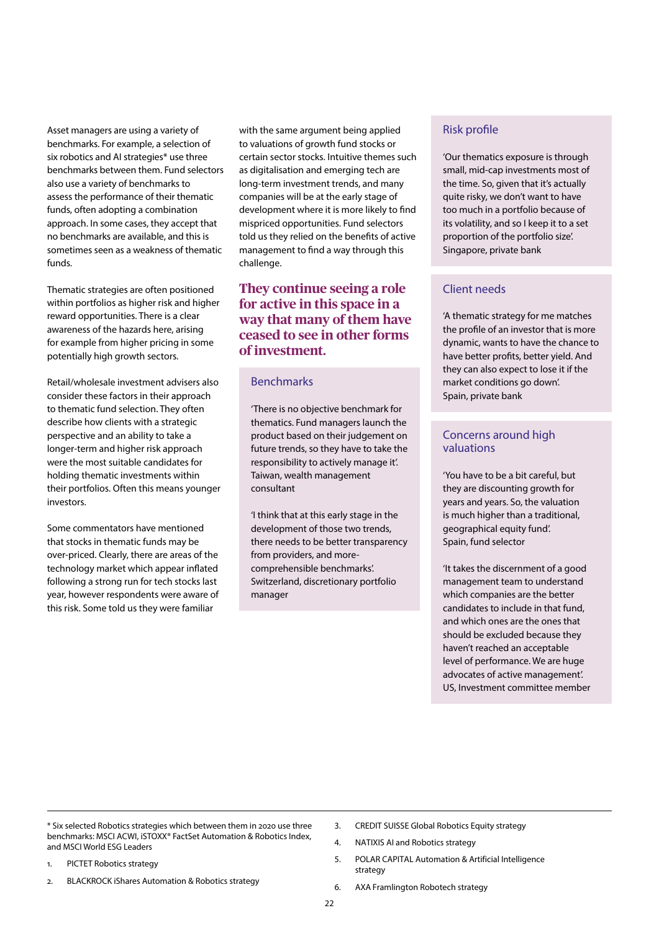Asset managers are using a variety of benchmarks. For example, a selection of six robotics and AI strategies\* use three benchmarks between them. Fund selectors also use a variety of benchmarks to assess the performance of their thematic funds, often adopting a combination approach. In some cases, they accept that no benchmarks are available, and this is sometimes seen as a weakness of thematic funds.

Thematic strategies are often positioned within portfolios as higher risk and higher reward opportunities. There is a clear awareness of the hazards here, arising for example from higher pricing in some potentially high growth sectors.

Retail/wholesale investment advisers also consider these factors in their approach to thematic fund selection. They often describe how clients with a strategic perspective and an ability to take a longer-term and higher risk approach were the most suitable candidates for holding thematic investments within their portfolios. Often this means younger investors.

Some commentators have mentioned that stocks in thematic funds may be over-priced. Clearly, there are areas of the technology market which appear inflated following a strong run for tech stocks last year, however respondents were aware of this risk. Some told us they were familiar

with the same argument being applied to valuations of growth fund stocks or certain sector stocks. Intuitive themes such as digitalisation and emerging tech are long-term investment trends, and many companies will be at the early stage of development where it is more likely to find mispriced opportunities. Fund selectors told us they relied on the benefits of active management to find a way through this challenge.

# **They continue seeing a role for active in this space in a way that many of them have ceased to see in other forms of investment.**

# Benchmarks

'There is no objective benchmark for thematics. Fund managers launch the product based on their judgement on future trends, so they have to take the responsibility to actively manage it'. Taiwan, wealth management consultant

'I think that at this early stage in the development of those two trends, there needs to be better transparency from providers, and morecomprehensible benchmarks'. Switzerland, discretionary portfolio manager

# Risk profile

'Our thematics exposure is through small, mid-cap investments most of the time. So, given that it's actually quite risky, we don't want to have too much in a portfolio because of its volatility, and so I keep it to a set proportion of the portfolio size'. Singapore, private bank

# Client needs

'A thematic strategy for me matches the profile of an investor that is more dynamic, wants to have the chance to have better profits, better yield. And they can also expect to lose it if the market conditions go down'. Spain, private bank

## Concerns around high valuations

'You have to be a bit careful, but they are discounting growth for years and years. So, the valuation is much higher than a traditional, geographical equity fund'. Spain, fund selector

'It takes the discernment of a good management team to understand which companies are the better candidates to include in that fund, and which ones are the ones that should be excluded because they haven't reached an acceptable level of performance. We are huge advocates of active management'. US, Investment committee member

- \* Six selected Robotics strategies which between them in 2020 use three benchmarks: MSCI ACWI, iSTOXX® FactSet Automation & Robotics Index, and MSCI World ESG Leaders
- 1. PICTET Robotics strategy
- 2. BLACKROCK iShares Automation & Robotics strategy
- 3. CREDIT SUISSE Global Robotics Equity strategy
- 4. NATIXIS AI and Robotics strategy
- 5. POLAR CAPITAL Automation & Artificial Intelligence strategy
- 6. AXA Framlington Robotech strategy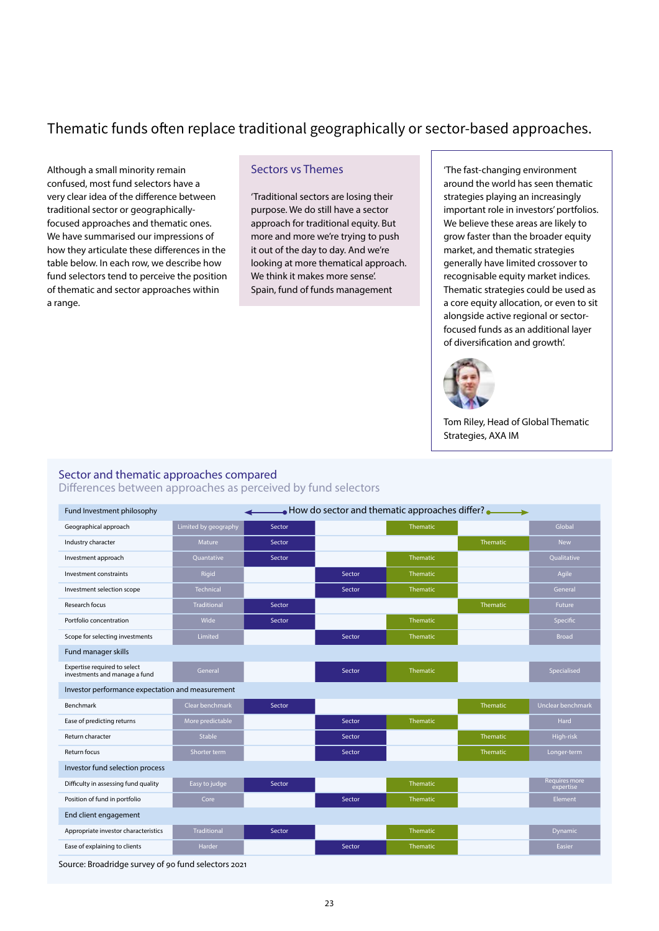# Thematic funds often replace traditional geographically or sector-based approaches.

Although a small minority remain confused, most fund selectors have a very clear idea of the difference between traditional sector or geographicallyfocused approaches and thematic ones. We have summarised our impressions of how they articulate these differences in the table below. In each row, we describe how fund selectors tend to perceive the position of thematic and sector approaches within a range.

## Sectors vs Themes

'Traditional sectors are losing their purpose. We do still have a sector approach for traditional equity. But more and more we're trying to push it out of the day to day. And we're looking at more thematical approach. We think it makes more sense'. Spain, fund of funds management

'The fast-changing environment around the world has seen thematic strategies playing an increasingly important role in investors' portfolios. We believe these areas are likely to grow faster than the broader equity market, and thematic strategies generally have limited crossover to recognisable equity market indices. Thematic strategies could be used as a core equity allocation, or even to sit alongside active regional or sectorfocused funds as an additional layer of diversification and growth'.



Tom Riley, Head of Global Thematic Strategies, AXA IM

### Sector and thematic approaches compared

Differences between approaches as perceived by fund selectors

| $\bullet$ How do sector and thematic approaches differ?<br>Fund Investment philosophy |                      |        |        |                 |                 |                                   |  |
|---------------------------------------------------------------------------------------|----------------------|--------|--------|-----------------|-----------------|-----------------------------------|--|
| Geographical approach                                                                 | Limited by geography | Sector |        | <b>Thematic</b> |                 | Global                            |  |
| Industry character                                                                    | Mature               | Sector |        |                 | <b>Thematic</b> | <b>New</b>                        |  |
| Investment approach                                                                   | Quantative           | Sector |        | Thematic        |                 | Qualitative                       |  |
| Investment constraints                                                                | Rigid                |        | Sector | Thematic        |                 | Agile                             |  |
| Investment selection scope                                                            | <b>Technical</b>     |        | Sector | <b>Thematic</b> |                 | General                           |  |
| Research focus                                                                        | <b>Traditional</b>   | Sector |        |                 | Thematic        | Future                            |  |
| Portfolio concentration                                                               | Wide                 | Sector |        | <b>Thematic</b> |                 | Specific                          |  |
| Scope for selecting investments                                                       | Limited              |        | Sector | Thematic        |                 | <b>Broad</b>                      |  |
| Fund manager skills                                                                   |                      |        |        |                 |                 |                                   |  |
| Expertise required to select<br>investments and manage a fund                         | General              |        | Sector | <b>Thematic</b> |                 | Specialised                       |  |
| Investor performance expectation and measurement                                      |                      |        |        |                 |                 |                                   |  |
| Benchmark                                                                             | Clear benchmark      | Sector |        |                 | Thematic        | Unclear benchmark                 |  |
| Ease of predicting returns                                                            | More predictable     |        | Sector | Thematic        |                 | <b>Hard</b>                       |  |
| Return character                                                                      | Stable               |        | Sector |                 | <b>Thematic</b> | High-risk                         |  |
| <b>Return focus</b>                                                                   | Shorter term         |        | Sector |                 | Thematic        | Longer-term                       |  |
| Investor fund selection process                                                       |                      |        |        |                 |                 |                                   |  |
| Difficulty in assessing fund quality                                                  | Easy to judge        | Sector |        | <b>Thematic</b> |                 | <b>Requires more</b><br>expertise |  |
| Position of fund in portfolio                                                         | Core                 |        | Sector | Thematic        |                 | <b>Element</b>                    |  |
| End client engagement                                                                 |                      |        |        |                 |                 |                                   |  |
| Appropriate investor characteristics                                                  | <b>Traditional</b>   | Sector |        | Thematic        |                 | <b>Dynamic</b>                    |  |
| Ease of explaining to clients                                                         | Harder               |        | Sector | <b>Thematic</b> |                 | Easier                            |  |

Source: Broadridge survey of 90 fund selectors 2021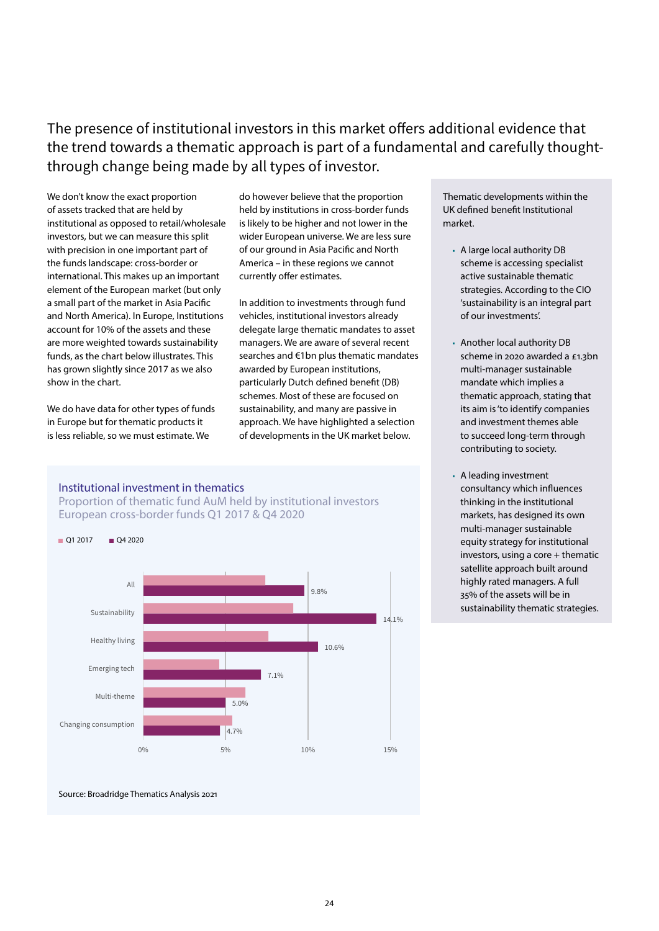# The presence of institutional investors in this market offers additional evidence that the trend towards a thematic approach is part of a fundamental and carefully thoughtthrough change being made by all types of investor.

We don't know the exact proportion of assets tracked that are held by institutional as opposed to retail/wholesale investors, but we can measure this split with precision in one important part of the funds landscape: cross-border or international. This makes up an important element of the European market (but only a small part of the market in Asia Pacific and North America). In Europe, Institutions account for 10% of the assets and these are more weighted towards sustainability funds, as the chart below illustrates. This has grown slightly since 2017 as we also show in the chart.

We do have data for other types of funds in Europe but for thematic products it is less reliable, so we must estimate. We

do however believe that the proportion held by institutions in cross-border funds is likely to be higher and not lower in the wider European universe. We are less sure of our ground in Asia Pacific and North America – in these regions we cannot currently offer estimates.

In addition to investments through fund vehicles, institutional investors already delegate large thematic mandates to asset managers. We are aware of several recent searches and €1bn plus thematic mandates awarded by European institutions, particularly Dutch defined benefit (DB) schemes. Most of these are focused on sustainability, and many are passive in approach. We have highlighted a selection of developments in the UK market below.

## Institutional investment in thematics

Proportion of thematic fund AuM held by institutional investors European cross-border funds Q1 2017 & Q4 2020



Source: Broadridge Thematics Analysis 2021

Thematic developments within the UK defined benefit Institutional market.

- A large local authority DB scheme is accessing specialist active sustainable thematic strategies. According to the CIO 'sustainability is an integral part of our investments'.
- Another local authority DB scheme in 2020 awarded a £1.3bn multi-manager sustainable mandate which implies a thematic approach, stating that its aim is 'to identify companies and investment themes able to succeed long-term through contributing to society.
- A leading investment consultancy which influences thinking in the institutional markets, has designed its own multi-manager sustainable equity strategy for institutional investors, using a core + thematic satellite approach built around highly rated managers. A full 35% of the assets will be in sustainability thematic strategies.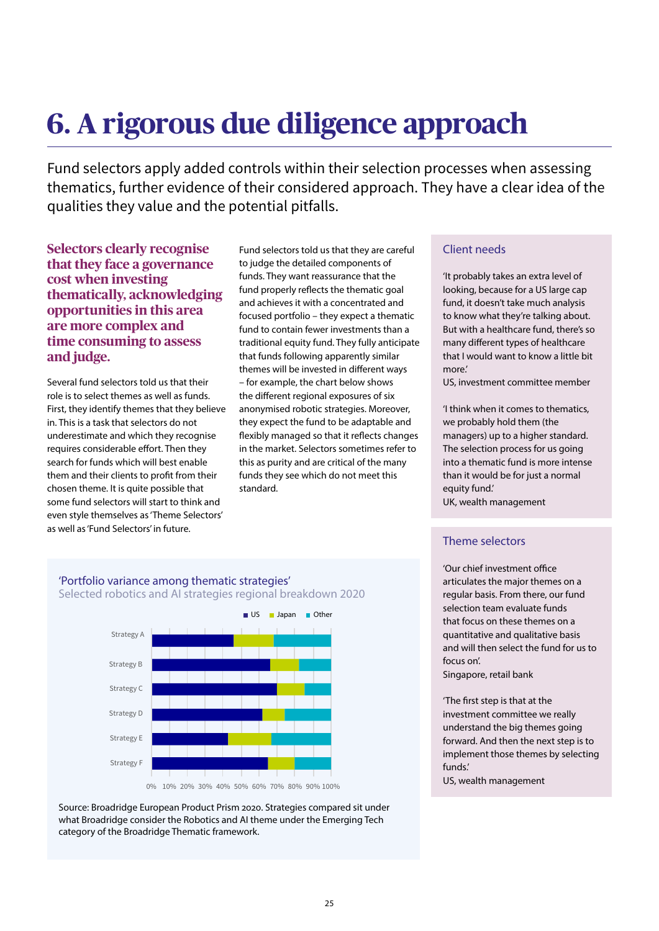# **6. A rigorous due diligence approach**

Fund selectors apply added controls within their selection processes when assessing thematics, further evidence of their considered approach. They have a clear idea of the qualities they value and the potential pitfalls.

# **Selectors clearly recognise that they face a governance cost when investing thematically, acknowledging opportunities in this area are more complex and time consuming to assess and judge.**

Several fund selectors told us that their role is to select themes as well as funds. First, they identify themes that they believe in. This is a task that selectors do not underestimate and which they recognise requires considerable effort. Then they search for funds which will best enable them and their clients to profit from their chosen theme. It is quite possible that some fund selectors will start to think and even style themselves as 'Theme Selectors' as well as 'Fund Selectors' in future.

Fund selectors told us that they are careful to judge the detailed components of funds. They want reassurance that the fund properly reflects the thematic goal and achieves it with a concentrated and focused portfolio – they expect a thematic fund to contain fewer investments than a traditional equity fund. They fully anticipate that funds following apparently similar themes will be invested in different ways – for example, the chart below shows the different regional exposures of six anonymised robotic strategies. Moreover, they expect the fund to be adaptable and flexibly managed so that it reflects changes in the market. Selectors sometimes refer to this as purity and are critical of the many funds they see which do not meet this standard.

# Client needs

'It probably takes an extra level of looking, because for a US large cap fund, it doesn't take much analysis to know what they're talking about. But with a healthcare fund, there's so many different types of healthcare that I would want to know a little bit more.'

US, investment committee member

'I think when it comes to thematics, we probably hold them (the managers) up to a higher standard. The selection process for us going into a thematic fund is more intense than it would be for just a normal equity fund.'

UK, wealth management

# Theme selectors

'Our chief investment office articulates the major themes on a regular basis. From there, our fund selection team evaluate funds that focus on these themes on a quantitative and qualitative basis and will then select the fund for us to focus on'.

Singapore, retail bank

'The first step is that at the investment committee we really understand the big themes going forward. And then the next step is to implement those themes by selecting funds.'

US, wealth management

# 'Portfolio variance among thematic strategies' Selected robotics and AI strategies regional breakdown 2020



Source: Broadridge European Product Prism 2020. Strategies compared sit under what Broadridge consider the Robotics and AI theme under the Emerging Tech category of the Broadridge Thematic framework.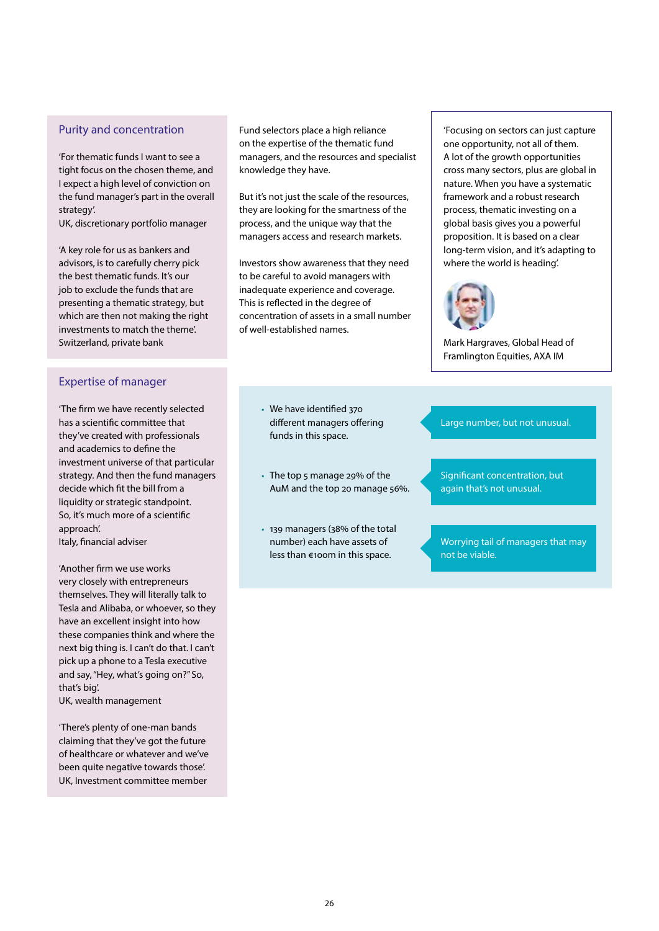# Purity and concentration

'For thematic funds I want to see a tight focus on the chosen theme, and I expect a high level of conviction on the fund manager's part in the overall strategy'.

UK, discretionary portfolio manager

'A key role for us as bankers and advisors, is to carefully cherry pick the best thematic funds. It's our job to exclude the funds that are presenting a thematic strategy, but which are then not making the right investments to match the theme'. Switzerland, private bank

# Expertise of manager

'The firm we have recently selected has a scientific committee that they've created with professionals and academics to define the investment universe of that particular strategy. And then the fund managers decide which fit the bill from a liquidity or strategic standpoint. So, it's much more of a scientific approach'. Italy, financial adviser

'Another firm we use works very closely with entrepreneurs

themselves. They will literally talk to Tesla and Alibaba, or whoever, so they have an excellent insight into how these companies think and where the next big thing is. I can't do that. I can't pick up a phone to a Tesla executive and say, "Hey, what's going on?" So, that's big'.

UK, wealth management

'There's plenty of one-man bands claiming that they've got the future of healthcare or whatever and we've been quite negative towards those'. UK, Investment committee member

Fund selectors place a high reliance on the expertise of the thematic fund managers, and the resources and specialist knowledge they have.

But it's not just the scale of the resources, they are looking for the smartness of the process, and the unique way that the managers access and research markets.

Investors show awareness that they need to be careful to avoid managers with inadequate experience and coverage. This is reflected in the degree of concentration of assets in a small number of well-established names.

> ■ We have identified 370 different managers offering funds in this space.

- The top 5 manage 29% of the AuM and the top 20 manage 56%.
- 139 managers (38% of the total number) each have assets of less than €100m in this space.

'Focusing on sectors can just capture one opportunity, not all of them. A lot of the growth opportunities cross many sectors, plus are global in nature. When you have a systematic framework and a robust research process, thematic investing on a global basis gives you a powerful proposition. It is based on a clear long-term vision, and it's adapting to where the world is heading'.



Mark Hargraves, Global Head of Framlington Equities, AXA IM

## Large number, but not unusual.

Significant concentration, but again that's not unusual.

Worrying tail of managers that may not be viable.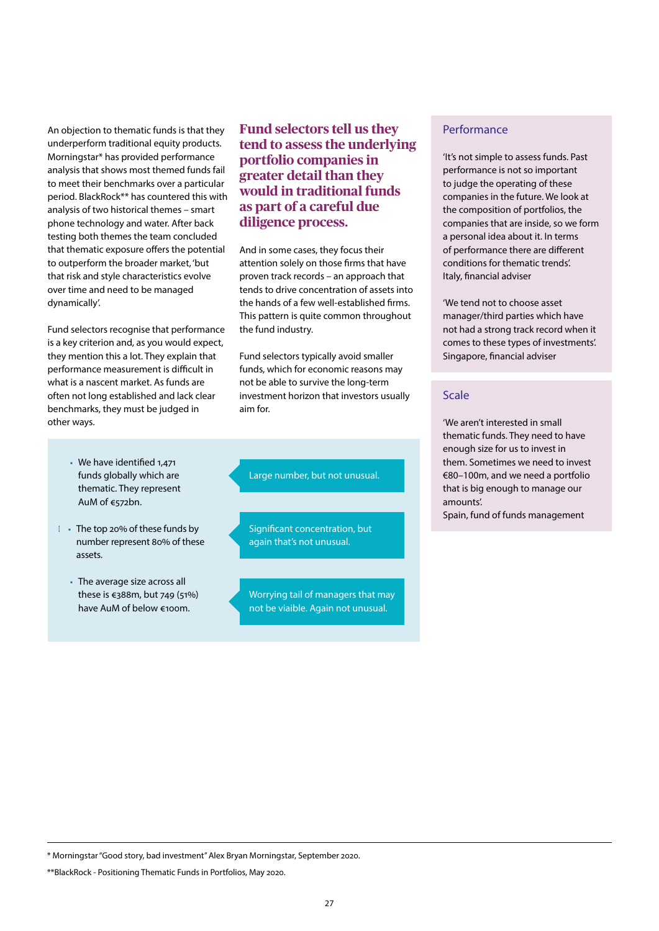An objection to thematic funds is that they underperform traditional equity products. Morningstar\* has provided performance analysis that shows most themed funds fail to meet their benchmarks over a particular period. BlackRock\*\* has countered this with analysis of two historical themes – smart phone technology and water. After back testing both themes the team concluded that thematic exposure offers the potential to outperform the broader market, 'but that risk and style characteristics evolve over time and need to be managed dynamically'.

Fund selectors recognise that performance is a key criterion and, as you would expect, they mention this a lot. They explain that performance measurement is difficult in what is a nascent market. As funds are often not long established and lack clear benchmarks, they must be judged in other ways.

- We have identified 1,471 funds globally which are thematic. They represent AuM of €572bn.
- The top 20% of these funds by number represent 80% of these assets.
- The average size across all these is €388m, but 749 (51%) have AuM of below €100m.

**Fund selectors tell us they tend to assess the underlying portfolio companies in greater detail than they would in traditional funds as part of a careful due diligence process.** 

And in some cases, they focus their attention solely on those firms that have proven track records – an approach that tends to drive concentration of assets into the hands of a few well-established firms. This pattern is quite common throughout the fund industry.

Fund selectors typically avoid smaller funds, which for economic reasons may not be able to survive the long-term investment horizon that investors usually aim for.

Large number, but not unusual.

Significant concentration, but again that's not unusual.

Worrying tail of managers that may not be viaible. Again not unusual.

# Performance

'It's not simple to assess funds. Past performance is not so important to judge the operating of these companies in the future. We look at the composition of portfolios, the companies that are inside, so we form a personal idea about it. In terms of performance there are different conditions for thematic trends'. Italy, financial adviser

'We tend not to choose asset manager/third parties which have not had a strong track record when it comes to these types of investments'. Singapore, financial adviser

# Scale

'We aren't interested in small thematic funds. They need to have enough size for us to invest in them. Sometimes we need to invest €80–100m, and we need a portfolio that is big enough to manage our amounts'.

Spain, fund of funds management

\* Morningstar "Good story, bad investment" Alex Bryan Morningstar, September 2020.

\*\*BlackRock - Positioning Thematic Funds in Portfolios, May 2020.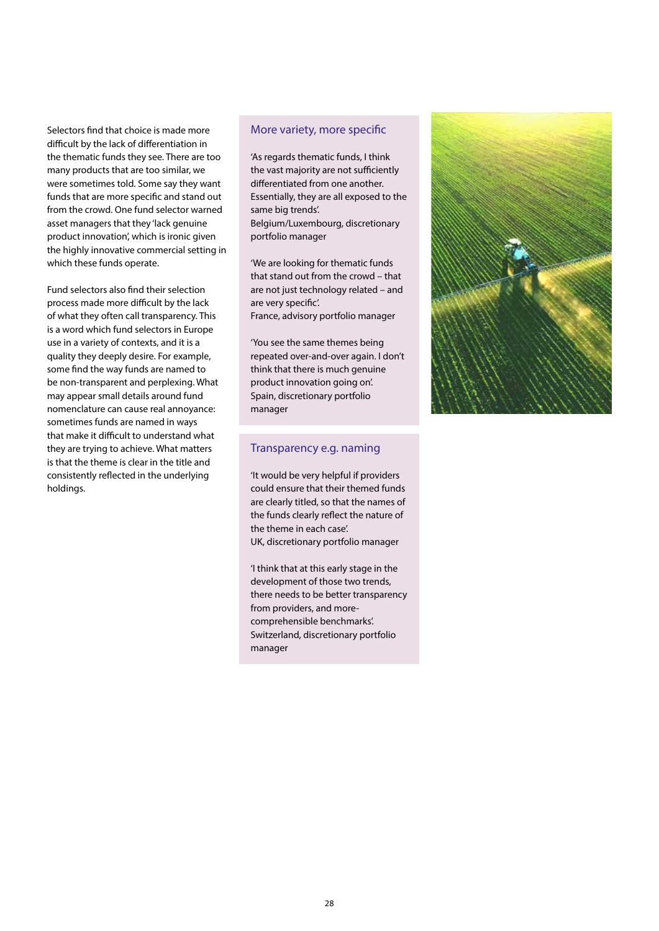Selectors find that choice is made more difficult by the lack of differentiation in the thematic funds they see. There are too many products that are too similar, we were sometimes told. Some say they want funds that are more specific and stand out from the crowd. One fund selector warned asset managers that they 'lack genuine product innovation', which is ironic given the highly innovative commercial setting in which these funds operate.

Fund selectors also find their selection process made more difficult by the lack of what they often call transparency. This is a word which fund selectors in Europe use in a variety of contexts, and it is a quality they deeply desire. For example, some find the way funds are named to be non-transparent and perplexing. What may appear small details around fund nomenclature can cause real annoyance: sometimes funds are named in ways that make it difficult to understand what they are trying to achieve. What matters is that the theme is clear in the title and consistently reflected in the underlying holdings.

### More variety, more specific

'As regards thematic funds, I think the vast majority are not sufficiently differentiated from one another. Essentially, they are all exposed to the same big trends'. Belgium/Luxembourg, discretionary portfolio manager

'We are looking for thematic funds that stand out from the crowd – that are not just technology related – and are very specific'. France, advisory portfolio manager

'You see the same themes being repeated over-and-over again. I don't think that there is much genuine product innovation going on'. Spain, discretionary portfolio manager

### Transparency e.g. naming

'It would be very helpful if providers could ensure that their themed funds are clearly titled, so that the names of the funds clearly reflect the nature of the theme in each case'. UK, discretionary portfolio manager

'I think that at this early stage in the development of those two trends, there needs to be better transparency from providers, and morecomprehensible benchmarks'. Switzerland, discretionary portfolio manager

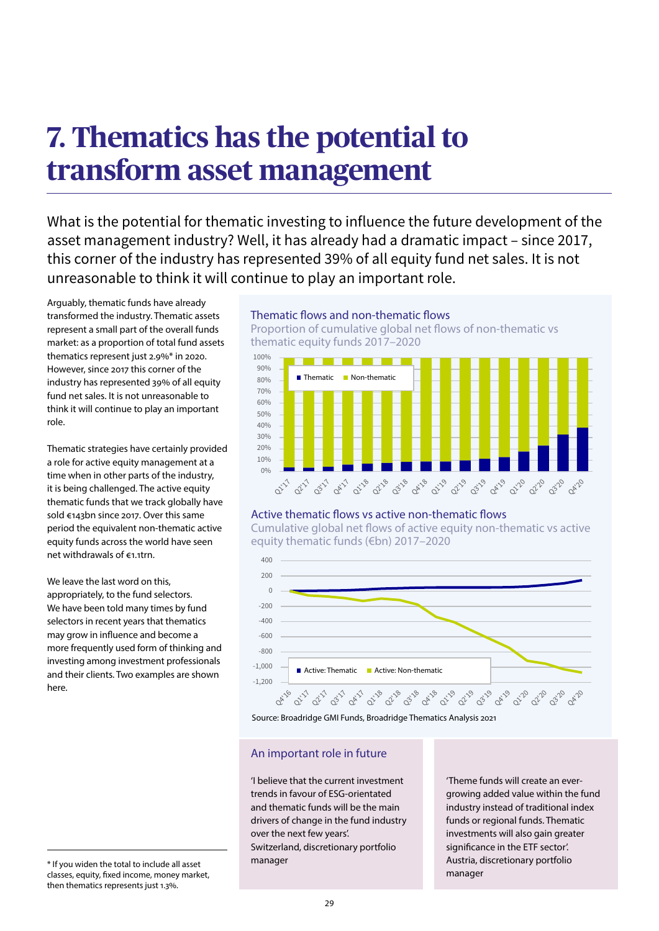# **7. Thematics has the potential to transform asset management**

What is the potential for thematic investing to influence the future development of the asset management industry? Well, it has already had a dramatic impact – since 2017, this corner of the industry has represented 39% of all equity fund net sales. It is not unreasonable to think it will continue to play an important role.

Arguably, thematic funds have already transformed the industry. Thematic assets represent a small part of the overall funds market: as a proportion of total fund assets thematics represent just 2.9%\* in 2020. However, since 2017 this corner of the industry has represented 39% of all equity fund net sales. It is not unreasonable to think it will continue to play an important role.

Thematic strategies have certainly provided a role for active equity management at a time when in other parts of the industry, it is being challenged. The active equity thematic funds that we track globally have sold €143bn since 2017. Over this same period the equivalent non-thematic active equity funds across the world have seen net withdrawals of €1.1trn.

We leave the last word on this, appropriately, to the fund selectors. We have been told many times by fund selectors in recent years that thematics may grow in influence and become a more frequently used form of thinking and investing among investment professionals and their clients. Two examples are shown here.

### Thematic flows and non-thematic flows

Proportion of cumulative global net flows of non-thematic vs thematic equity funds 2017–2020



## Active thematic flows vs active non-thematic flows

Cumulative global net flows of active equity non-thematic vs active equity thematic funds (€bn) 2017–2020





# An important role in future

'I believe that the current investment trends in favour of ESG-orientated and thematic funds will be the main drivers of change in the fund industry over the next few years'. Switzerland, discretionary portfolio manager

'Theme funds will create an evergrowing added value within the fund industry instead of traditional index funds or regional funds. Thematic investments will also gain greater significance in the ETF sector'. Austria, discretionary portfolio manager

<sup>\*</sup> If you widen the total to include all asset classes, equity, fixed income, money market, then thematics represents just 1.3%.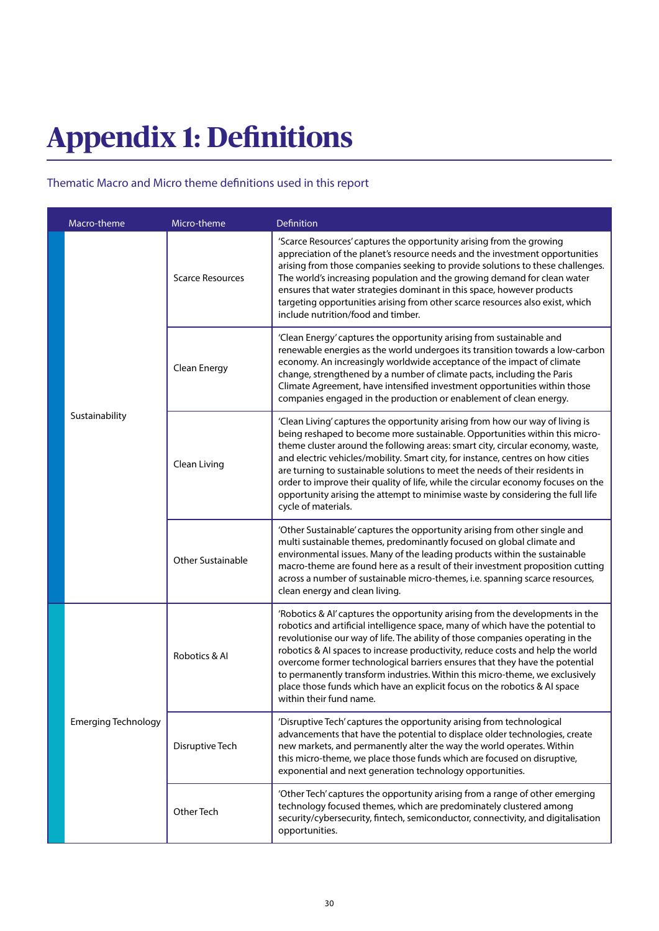# **Appendix 1: Definitions**

# Thematic Macro and Micro theme definitions used in this report

|  | Macro-theme                | Micro-theme             | Definition                                                                                                                                                                                                                                                                                                                                                                                                                                                                                                                                                                                                      |  |  |
|--|----------------------------|-------------------------|-----------------------------------------------------------------------------------------------------------------------------------------------------------------------------------------------------------------------------------------------------------------------------------------------------------------------------------------------------------------------------------------------------------------------------------------------------------------------------------------------------------------------------------------------------------------------------------------------------------------|--|--|
|  | Sustainability             | <b>Scarce Resources</b> | 'Scarce Resources' captures the opportunity arising from the growing<br>appreciation of the planet's resource needs and the investment opportunities<br>arising from those companies seeking to provide solutions to these challenges.<br>The world's increasing population and the growing demand for clean water<br>ensures that water strategies dominant in this space, however products<br>targeting opportunities arising from other scarce resources also exist, which<br>include nutrition/food and timber.                                                                                             |  |  |
|  |                            | Clean Energy            | 'Clean Energy' captures the opportunity arising from sustainable and<br>renewable energies as the world undergoes its transition towards a low-carbon<br>economy. An increasingly worldwide acceptance of the impact of climate<br>change, strengthened by a number of climate pacts, including the Paris<br>Climate Agreement, have intensified investment opportunities within those<br>companies engaged in the production or enablement of clean energy.                                                                                                                                                    |  |  |
|  |                            | Clean Living            | 'Clean Living' captures the opportunity arising from how our way of living is<br>being reshaped to become more sustainable. Opportunities within this micro-<br>theme cluster around the following areas: smart city, circular economy, waste,<br>and electric vehicles/mobility. Smart city, for instance, centres on how cities<br>are turning to sustainable solutions to meet the needs of their residents in<br>order to improve their quality of life, while the circular economy focuses on the<br>opportunity arising the attempt to minimise waste by considering the full life<br>cycle of materials. |  |  |
|  |                            | Other Sustainable       | 'Other Sustainable' captures the opportunity arising from other single and<br>multi sustainable themes, predominantly focused on global climate and<br>environmental issues. Many of the leading products within the sustainable<br>macro-theme are found here as a result of their investment proposition cutting<br>across a number of sustainable micro-themes, i.e. spanning scarce resources,<br>clean energy and clean living.                                                                                                                                                                            |  |  |
|  | <b>Emerging Technology</b> | Robotics & Al           | 'Robotics & Al' captures the opportunity arising from the developments in the<br>robotics and artificial intelligence space, many of which have the potential to<br>revolutionise our way of life. The ability of those companies operating in the<br>robotics & AI spaces to increase productivity, reduce costs and help the world<br>overcome former technological barriers ensures that they have the potential<br>to permanently transform industries. Within this micro-theme, we exclusively<br>place those funds which have an explicit focus on the robotics & AI space<br>within their fund name.     |  |  |
|  |                            | Disruptive Tech         | 'Disruptive Tech' captures the opportunity arising from technological<br>advancements that have the potential to displace older technologies, create<br>new markets, and permanently alter the way the world operates. Within<br>this micro-theme, we place those funds which are focused on disruptive,<br>exponential and next generation technology opportunities.                                                                                                                                                                                                                                           |  |  |
|  |                            | Other Tech              | 'Other Tech' captures the opportunity arising from a range of other emerging<br>technology focused themes, which are predominately clustered among<br>security/cybersecurity, fintech, semiconductor, connectivity, and digitalisation<br>opportunities.                                                                                                                                                                                                                                                                                                                                                        |  |  |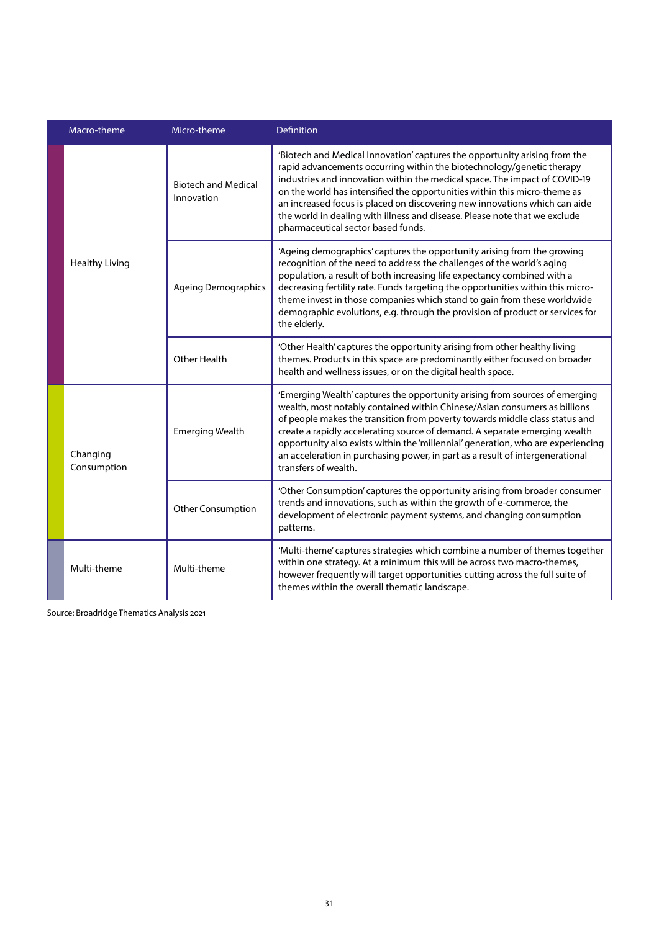|  | Macro-theme<br>Micro-theme |                                          | <b>Definition</b>                                                                                                                                                                                                                                                                                                                                                                                                                                                                                                  |  |  |
|--|----------------------------|------------------------------------------|--------------------------------------------------------------------------------------------------------------------------------------------------------------------------------------------------------------------------------------------------------------------------------------------------------------------------------------------------------------------------------------------------------------------------------------------------------------------------------------------------------------------|--|--|
|  | <b>Healthy Living</b>      | <b>Biotech and Medical</b><br>Innovation | 'Biotech and Medical Innovation' captures the opportunity arising from the<br>rapid advancements occurring within the biotechnology/genetic therapy<br>industries and innovation within the medical space. The impact of COVID-19<br>on the world has intensified the opportunities within this micro-theme as<br>an increased focus is placed on discovering new innovations which can aide<br>the world in dealing with illness and disease. Please note that we exclude<br>pharmaceutical sector based funds.   |  |  |
|  |                            | <b>Ageing Demographics</b>               | 'Ageing demographics' captures the opportunity arising from the growing<br>recognition of the need to address the challenges of the world's aging<br>population, a result of both increasing life expectancy combined with a<br>decreasing fertility rate. Funds targeting the opportunities within this micro-<br>theme invest in those companies which stand to gain from these worldwide<br>demographic evolutions, e.g. through the provision of product or services for<br>the elderly.                       |  |  |
|  |                            | Other Health                             | 'Other Health' captures the opportunity arising from other healthy living<br>themes. Products in this space are predominantly either focused on broader<br>health and wellness issues, or on the digital health space.                                                                                                                                                                                                                                                                                             |  |  |
|  | Changing<br>Consumption    | <b>Emerging Wealth</b>                   | 'Emerging Wealth' captures the opportunity arising from sources of emerging<br>wealth, most notably contained within Chinese/Asian consumers as billions<br>of people makes the transition from poverty towards middle class status and<br>create a rapidly accelerating source of demand. A separate emerging wealth<br>opportunity also exists within the 'millennial' generation, who are experiencing<br>an acceleration in purchasing power, in part as a result of intergenerational<br>transfers of wealth. |  |  |
|  |                            | Other Consumption                        | 'Other Consumption' captures the opportunity arising from broader consumer<br>trends and innovations, such as within the growth of e-commerce, the<br>development of electronic payment systems, and changing consumption<br>patterns.                                                                                                                                                                                                                                                                             |  |  |
|  | Multi-theme                | Multi-theme                              | 'Multi-theme' captures strategies which combine a number of themes together<br>within one strategy. At a minimum this will be across two macro-themes,<br>however frequently will target opportunities cutting across the full suite of<br>themes within the overall thematic landscape.                                                                                                                                                                                                                           |  |  |

Source: Broadridge Thematics Analysis 2021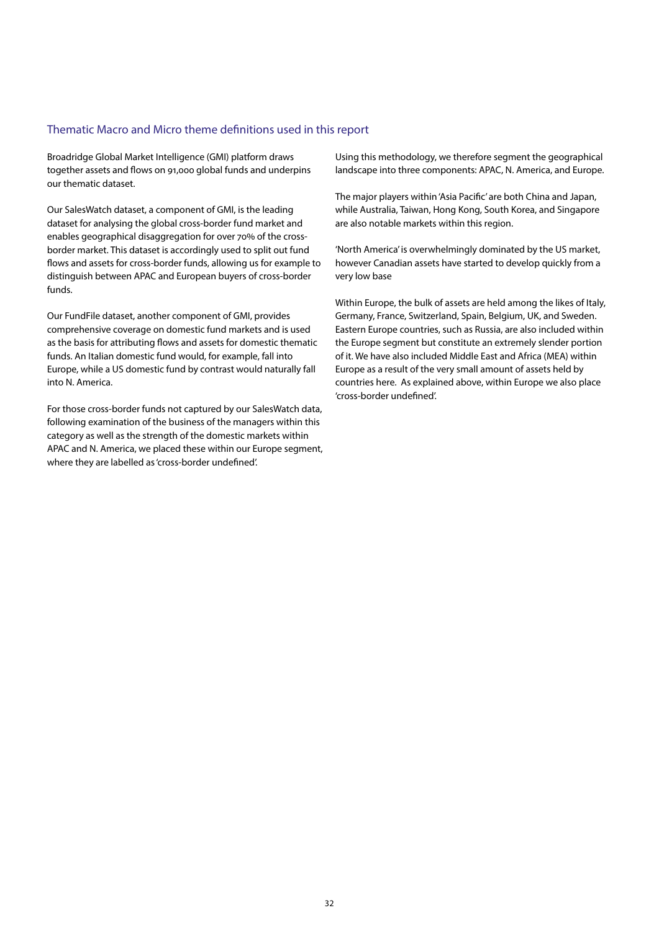## Thematic Macro and Micro theme definitions used in this report

Broadridge Global Market Intelligence (GMI) platform draws together assets and flows on 91,000 global funds and underpins our thematic dataset.

Our SalesWatch dataset, a component of GMI, is the leading dataset for analysing the global cross-border fund market and enables geographical disaggregation for over 70% of the crossborder market. This dataset is accordingly used to split out fund flows and assets for cross-border funds, allowing us for example to distinguish between APAC and European buyers of cross-border funds.

Our FundFile dataset, another component of GMI, provides comprehensive coverage on domestic fund markets and is used as the basis for attributing flows and assets for domestic thematic funds. An Italian domestic fund would, for example, fall into Europe, while a US domestic fund by contrast would naturally fall into N. America.

For those cross-border funds not captured by our SalesWatch data, following examination of the business of the managers within this category as well as the strength of the domestic markets within APAC and N. America, we placed these within our Europe segment, where they are labelled as 'cross-border undefined'.

Using this methodology, we therefore segment the geographical landscape into three components: APAC, N. America, and Europe.

The major players within 'Asia Pacific' are both China and Japan, while Australia, Taiwan, Hong Kong, South Korea, and Singapore are also notable markets within this region.

'North America' is overwhelmingly dominated by the US market, however Canadian assets have started to develop quickly from a very low base

Within Europe, the bulk of assets are held among the likes of Italy, Germany, France, Switzerland, Spain, Belgium, UK, and Sweden. Eastern Europe countries, such as Russia, are also included within the Europe segment but constitute an extremely slender portion of it. We have also included Middle East and Africa (MEA) within Europe as a result of the very small amount of assets held by countries here. As explained above, within Europe we also place 'cross-border undefined'.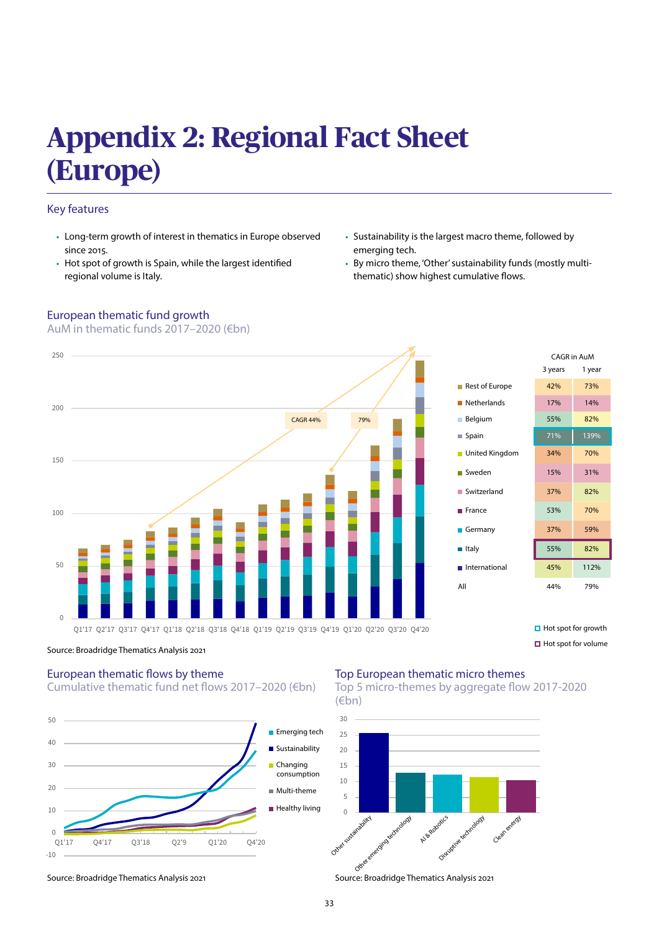# **Appendix 2: Regional Fact Sheet (Europe)**

# Key features

- Long-term growth of interest in thematics in Europe observed since 2015.
- Hot spot of growth is Spain, while the largest identified regional volume is Italy.
- European thematic fund growth

AuM in thematic funds 2017–2020 (€bn)

- Sustainability is the largest macro theme, followed by emerging tech.
- By micro theme, 'Other' sustainability funds (mostly multithematic) show highest cumulative flows.



 $\Box$  Hot spot for volume

### Source: Broadridge Thematics Analysis 2021

## European thematic flows by theme Cumulative thematic fund net flows 2017–2020 (€bn)



# Top European thematic micro themes





Source: Broadridge Thematics Analysis 2021 Source: Broadridge Thematics Analysis 2021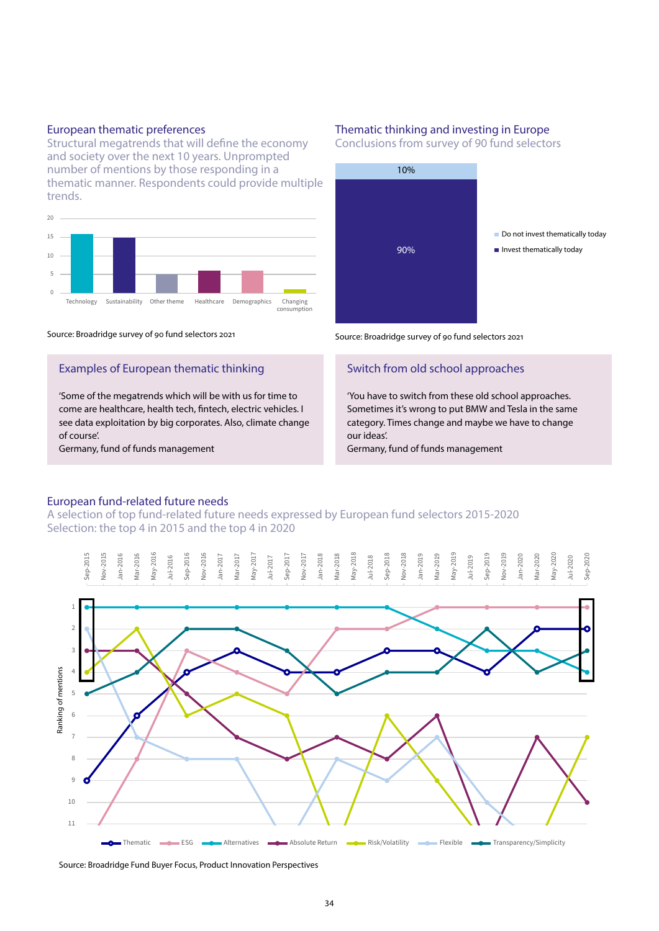### European thematic preferences

Structural megatrends that will define the economy and society over the next 10 years. Unprompted number of mentions by those responding in a thematic manner. Respondents could provide multiple trends.



#### Source: Broadridge survey of 90 fund selectors 2021

## Examples of European thematic thinking

'Some of the megatrends which will be with us for time to come are healthcare, health tech, fintech, electric vehicles. I see data exploitation by big corporates. Also, climate change of course'.

Germany, fund of funds management

### Thematic thinking and investing in Europe

Conclusions from survey of 90 fund selectors



Source: Broadridge survey of 90 fund selectors 2021

## Switch from old school approaches

'You have to switch from these old school approaches. Sometimes it's wrong to put BMW and Tesla in the same category. Times change and maybe we have to change our ideas'.

Germany, fund of funds management

## European fund-related future needs

A selection of top fund-related future needs expressed by European fund selectors 2015-2020 Selection: the top 4 in 2015 and the top 4 in 2020



Source: Broadridge Fund Buyer Focus, Product Innovation Perspectives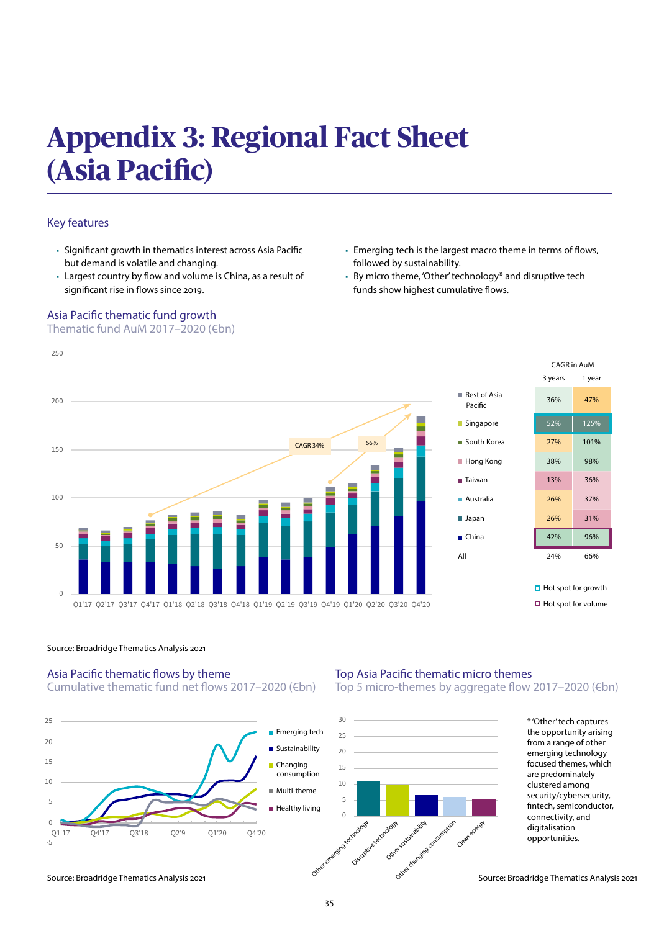# **Appendix 3: Regional Fact Sheet (Asia Pacific)**

# Key features

- Significant growth in thematics interest across Asia Pacific but demand is volatile and changing.
- Largest country by flow and volume is China, as a result of significant rise in flows since 2019.

# Asia Pacific thematic fund growth

Thematic fund AuM 2017–2020 (€bn)

- Emerging tech is the largest macro theme in terms of flows, followed by sustainability.
- By micro theme, 'Other' technology\* and disruptive tech funds show highest cumulative flows.





**□** Hot spot for growth  $\Box$  Hot spot for volume

### Source: Broadridge Thematics Analysis 2021

# Asia Pacific thematic flows by theme

Cumulative thematic fund net flows 2017–2020 (€bn)



# Top Asia Pacific thematic micro themes

Top 5 micro-themes by aggregate flow 2017–2020 (€bn)



\* 'Other' tech captures the opportunity arising from a range of other emerging technology focused themes, which are predominately clustered among security/cybersecurity, fintech, semiconductor, connectivity, and digitalisation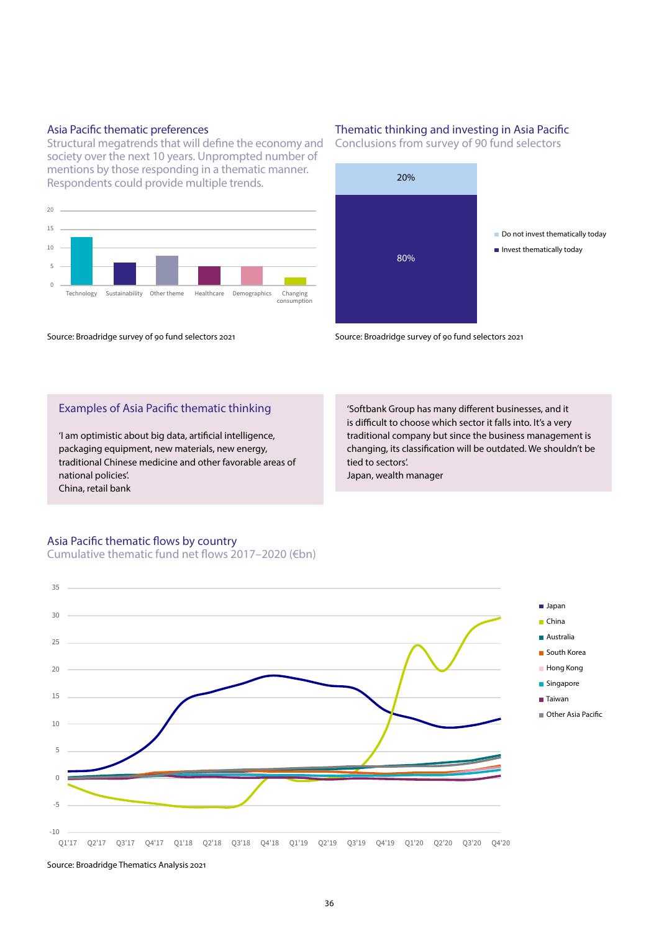## Asia Pacific thematic preferences

Structural megatrends that will define the economy and society over the next 10 years. Unprompted number of mentions by those responding in a thematic manner. Respondents could provide multiple trends.



### Source: Broadridge survey of 90 fund selectors 2021

## Thematic thinking and investing in Asia Pacific

Conclusions from survey of 90 fund selectors



Source: Broadridge survey of 90 fund selectors 2021

## Examples of Asia Pacific thematic thinking

'I am optimistic about big data, artificial intelligence, packaging equipment, new materials, new energy, traditional Chinese medicine and other favorable areas of national policies'. China, retail bank

'Softbank Group has many different businesses, and it is difficult to choose which sector it falls into. It's a very traditional company but since the business management is changing, its classification will be outdated. We shouldn't be tied to sectors'.

Japan, wealth manager

# Asia Pacific thematic flows by country Cumulative thematic fund net flows 2017–2020 (€bn)

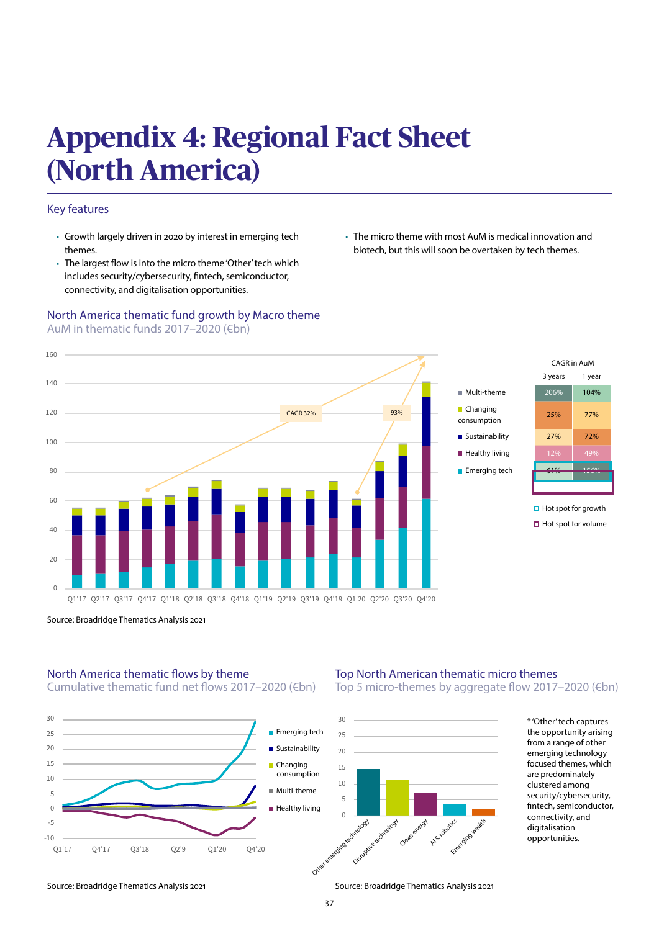# **Appendix 4: Regional Fact Sheet (North America)**

# Key features

- Growth largely driven in 2020 by interest in emerging tech themes.
- The largest flow is into the micro theme 'Other' tech which includes security/cybersecurity, fintech, semiconductor, connectivity, and digitalisation opportunities.

## North America thematic fund growth by Macro theme AuM in thematic funds 2017–2020 (€bn)

■ The micro theme with most AuM is medical innovation and biotech, but this will soon be overtaken by tech themes.





**<sup>□</sup>** Hot spot for growth  $\Box$  Hot spot for volume

Source: Broadridge Thematics Analysis 2021

# North America thematic flows by theme

Cumulative thematic fund net flows 2017–2020 (€bn)



# Top North American thematic micro themes

Top 5 micro-themes by aggregate flow 2017–2020 (€bn)



\* 'Other' tech captures the opportunity arising from a range of other emerging technology focused themes, which are predominately clustered among security/cybersecurity, fintech, semiconductor, connectivity, and digitalisation opportunities.

Source: Broadridge Thematics Analysis 2021 Source: Broadridge Thematics Analysis 2021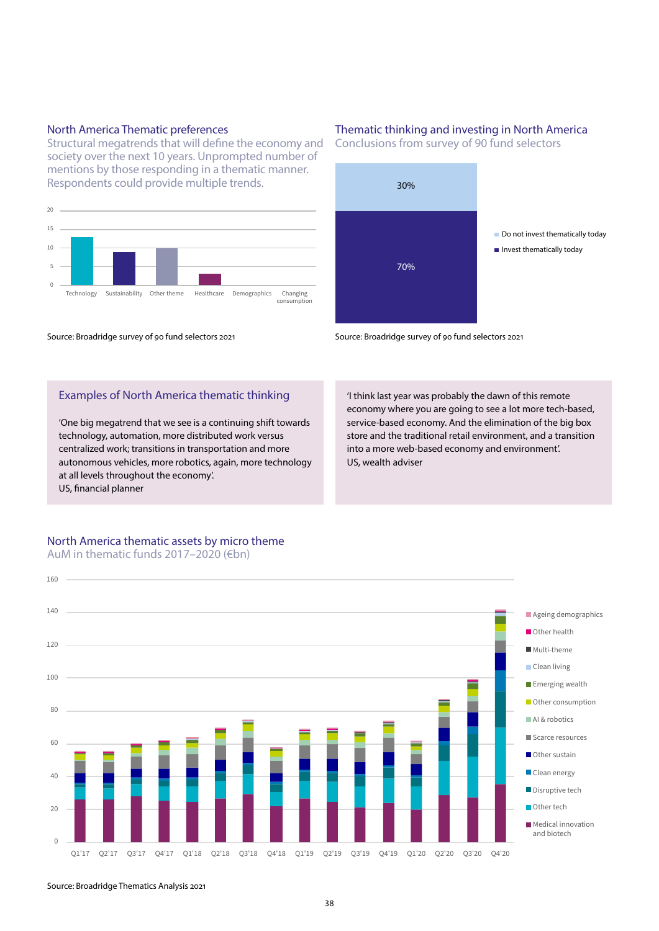## North America Thematic preferences

Structural megatrends that will define the economy and society over the next 10 years. Unprompted number of mentions by those responding in a thematic manner. Respondents could provide multiple trends.



Source: Broadridge survey of 90 fund selectors 2021

# Examples of North America thematic thinking

'One big megatrend that we see is a continuing shift towards technology, automation, more distributed work versus centralized work; transitions in transportation and more autonomous vehicles, more robotics, again, more technology at all levels throughout the economy'. US, financial planner

## North America thematic assets by micro theme AuM in thematic funds 2017–2020 (€bn)

# Thematic thinking and investing in North America

Conclusions from survey of 90 fund selectors



Source: Broadridge survey of 90 fund selectors 2021

'I think last year was probably the dawn of this remote economy where you are going to see a lot more tech-based, service-based economy. And the elimination of the big box store and the traditional retail environment, and a transition into a more web-based economy and environment'. US, wealth adviser



Source: Broadridge Thematics Analysis 2021